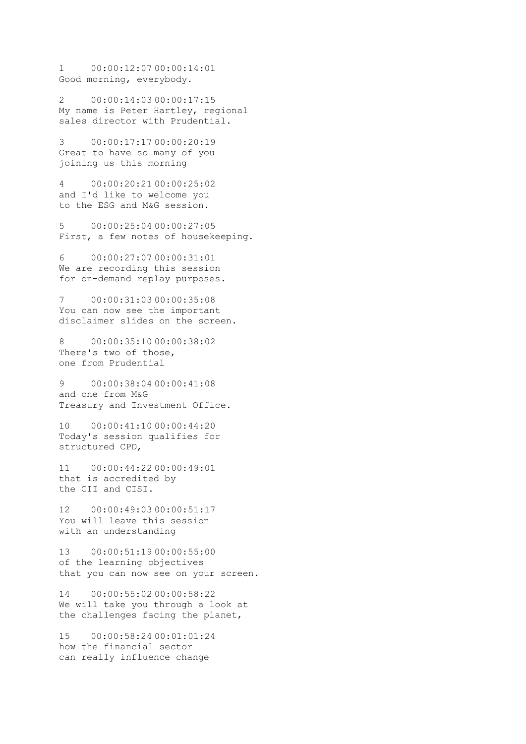1 00:00:12:07 00:00:14:01 Good morning, everybody.

2 00:00:14:03 00:00:17:15 My name is Peter Hartley, regional sales director with Prudential.

3 00:00:17:17 00:00:20:19 Great to have so many of you joining us this morning

4 00:00:20:21 00:00:25:02 and I'd like to welcome you to the ESG and M&G session.

5 00:00:25:04 00:00:27:05 First, a few notes of housekeeping.

6 00:00:27:07 00:00:31:01 We are recording this session for on-demand replay purposes.

7 00:00:31:03 00:00:35:08 You can now see the important disclaimer slides on the screen.

8 00:00:35:10 00:00:38:02 There's two of those, one from Prudential

9 00:00:38:04 00:00:41:08 and one from M&G Treasury and Investment Office.

10 00:00:41:10 00:00:44:20 Today's session qualifies for structured CPD,

11 00:00:44:22 00:00:49:01 that is accredited by the CII and CISI.

12 00:00:49:03 00:00:51:17 You will leave this session with an understanding

13 00:00:51:19 00:00:55:00 of the learning objectives that you can now see on your screen.

14 00:00:55:02 00:00:58:22 We will take you through a look at the challenges facing the planet,

15 00:00:58:24 00:01:01:24 how the financial sector can really influence change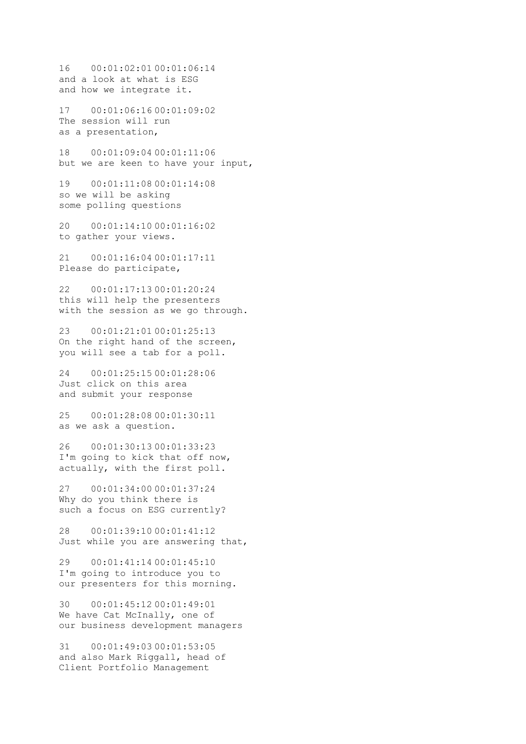16 00:01:02:01 00:01:06:14 and a look at what is ESG and how we integrate it.

17 00:01:06:16 00:01:09:02 The session will run as a presentation,

18 00:01:09:04 00:01:11:06 but we are keen to have your input,

19 00:01:11:08 00:01:14:08 so we will be asking some polling questions

20 00:01:14:10 00:01:16:02 to gather your views.

21 00:01:16:04 00:01:17:11 Please do participate,

22 00:01:17:13 00:01:20:24 this will help the presenters with the session as we go through.

23 00:01:21:01 00:01:25:13 On the right hand of the screen, you will see a tab for a poll.

24 00:01:25:15 00:01:28:06 Just click on this area and submit your response

25 00:01:28:08 00:01:30:11 as we ask a question.

26 00:01:30:13 00:01:33:23 I'm going to kick that off now, actually, with the first poll.

27 00:01:34:00 00:01:37:24 Why do you think there is such a focus on ESG currently?

28 00:01:39:10 00:01:41:12 Just while you are answering that,

29 00:01:41:14 00:01:45:10 I'm going to introduce you to our presenters for this morning.

30 00:01:45:12 00:01:49:01 We have Cat McInally, one of our business development managers

31 00:01:49:03 00:01:53:05 and also Mark Riggall, head of Client Portfolio Management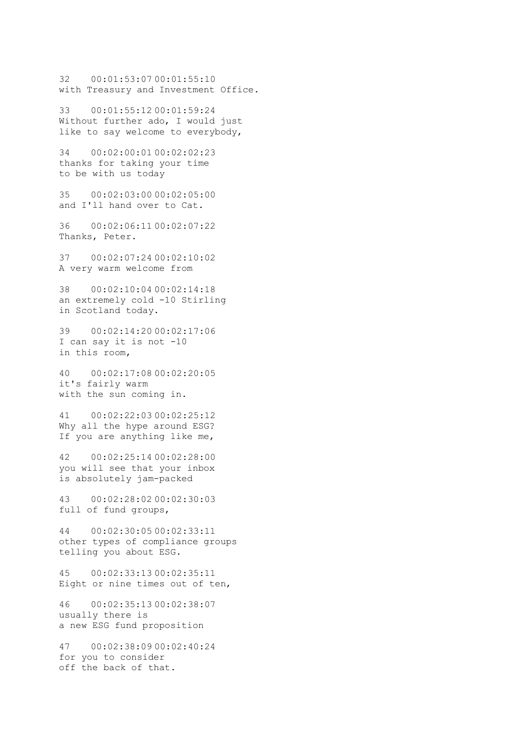32 00:01:53:07 00:01:55:10 with Treasury and Investment Office.

33 00:01:55:12 00:01:59:24 Without further ado, I would just like to say welcome to everybody,

34 00:02:00:01 00:02:02:23 thanks for taking your time to be with us today

35 00:02:03:00 00:02:05:00 and I'll hand over to Cat.

36 00:02:06:11 00:02:07:22 Thanks, Peter.

37 00:02:07:24 00:02:10:02 A very warm welcome from

38 00:02:10:04 00:02:14:18 an extremely cold -10 Stirling in Scotland today.

39 00:02:14:20 00:02:17:06 I can say it is not -10 in this room,

40 00:02:17:08 00:02:20:05 it's fairly warm with the sun coming in.

41 00:02:22:03 00:02:25:12 Why all the hype around ESG? If you are anything like me,

42 00:02:25:14 00:02:28:00 you will see that your inbox is absolutely jam-packed

43 00:02:28:02 00:02:30:03 full of fund groups,

44 00:02:30:05 00:02:33:11 other types of compliance groups telling you about ESG.

45 00:02:33:13 00:02:35:11 Eight or nine times out of ten,

46 00:02:35:13 00:02:38:07 usually there is a new ESG fund proposition

47 00:02:38:09 00:02:40:24 for you to consider off the back of that.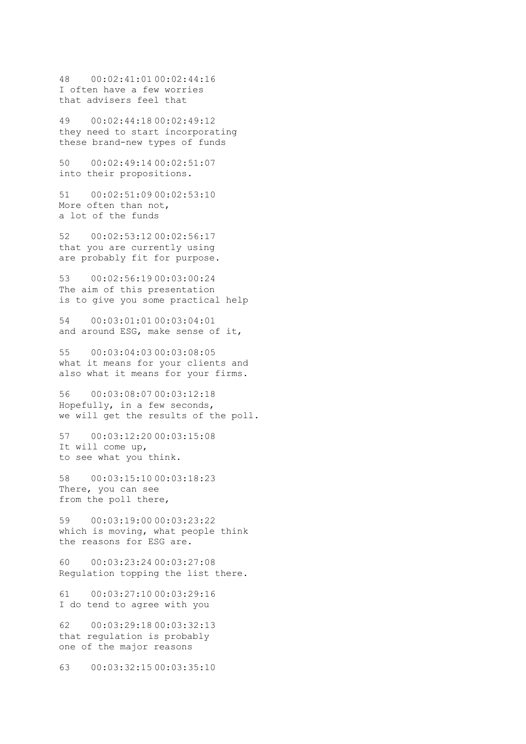48 00:02:41:01 00:02:44:16 I often have a few worries that advisers feel that

49 00:02:44:18 00:02:49:12 they need to start incorporating these brand-new types of funds

50 00:02:49:14 00:02:51:07 into their propositions.

51 00:02:51:09 00:02:53:10 More often than not, a lot of the funds

52 00:02:53:12 00:02:56:17 that you are currently using are probably fit for purpose.

53 00:02:56:19 00:03:00:24 The aim of this presentation is to give you some practical help

54 00:03:01:01 00:03:04:01 and around ESG, make sense of it,

55 00:03:04:03 00:03:08:05 what it means for your clients and also what it means for your firms.

56 00:03:08:07 00:03:12:18 Hopefully, in a few seconds, we will get the results of the poll.

57 00:03:12:20 00:03:15:08 It will come up, to see what you think.

58 00:03:15:10 00:03:18:23 There, you can see from the poll there,

59 00:03:19:00 00:03:23:22 which is moving, what people think the reasons for ESG are.

60 00:03:23:24 00:03:27:08 Regulation topping the list there.

61 00:03:27:10 00:03:29:16 I do tend to agree with you

62 00:03:29:18 00:03:32:13 that regulation is probably one of the major reasons

63 00:03:32:15 00:03:35:10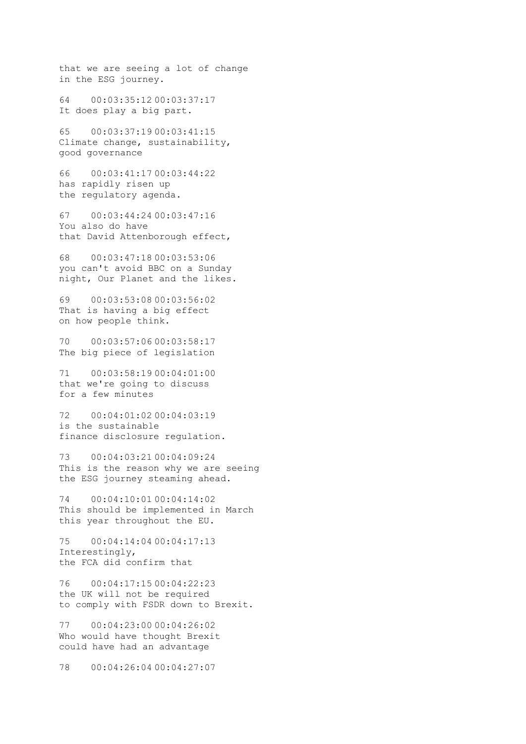that we are seeing a lot of change in the ESG journey.

64 00:03:35:12 00:03:37:17 It does play a big part.

65 00:03:37:19 00:03:41:15 Climate change, sustainability, good governance

66 00:03:41:17 00:03:44:22 has rapidly risen up the regulatory agenda.

67 00:03:44:24 00:03:47:16 You also do have that David Attenborough effect,

68 00:03:47:18 00:03:53:06 you can't avoid BBC on a Sunday night, Our Planet and the likes.

69 00:03:53:08 00:03:56:02 That is having a big effect on how people think.

70 00:03:57:06 00:03:58:17 The big piece of legislation

71 00:03:58:19 00:04:01:00 that we're going to discuss for a few minutes

72 00:04:01:02 00:04:03:19 is the sustainable finance disclosure regulation.

73 00:04:03:21 00:04:09:24 This is the reason why we are seeing the ESG journey steaming ahead.

74 00:04:10:01 00:04:14:02 This should be implemented in March this year throughout the EU.

75 00:04:14:04 00:04:17:13 Interestingly, the FCA did confirm that

76 00:04:17:15 00:04:22:23 the UK will not be required to comply with FSDR down to Brexit.

77 00:04:23:00 00:04:26:02 Who would have thought Brexit could have had an advantage

78 00:04:26:04 00:04:27:07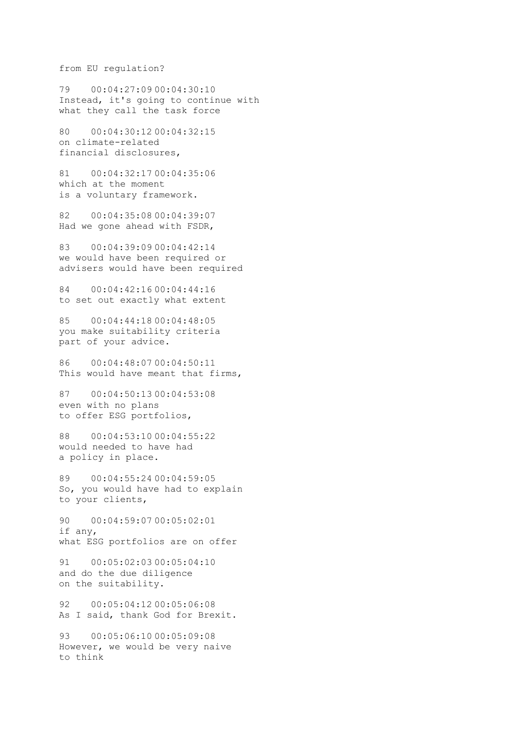from EU regulation?

79 00:04:27:09 00:04:30:10 Instead, it's going to continue with what they call the task force

80 00:04:30:12 00:04:32:15 on climate-related financial disclosures,

81 00:04:32:17 00:04:35:06 which at the moment is a voluntary framework.

82 00:04:35:08 00:04:39:07 Had we gone ahead with FSDR,

83 00:04:39:09 00:04:42:14 we would have been required or advisers would have been required

84 00:04:42:16 00:04:44:16 to set out exactly what extent

85 00:04:44:18 00:04:48:05 you make suitability criteria part of your advice.

86 00:04:48:07 00:04:50:11 This would have meant that firms,

87 00:04:50:13 00:04:53:08 even with no plans to offer ESG portfolios,

88 00:04:53:10 00:04:55:22 would needed to have had a policy in place.

89 00:04:55:24 00:04:59:05 So, you would have had to explain to your clients,

90 00:04:59:07 00:05:02:01 if any, what ESG portfolios are on offer

91 00:05:02:03 00:05:04:10 and do the due diligence on the suitability.

92 00:05:04:12 00:05:06:08 As I said, thank God for Brexit.

93 00:05:06:10 00:05:09:08 However, we would be very naive to think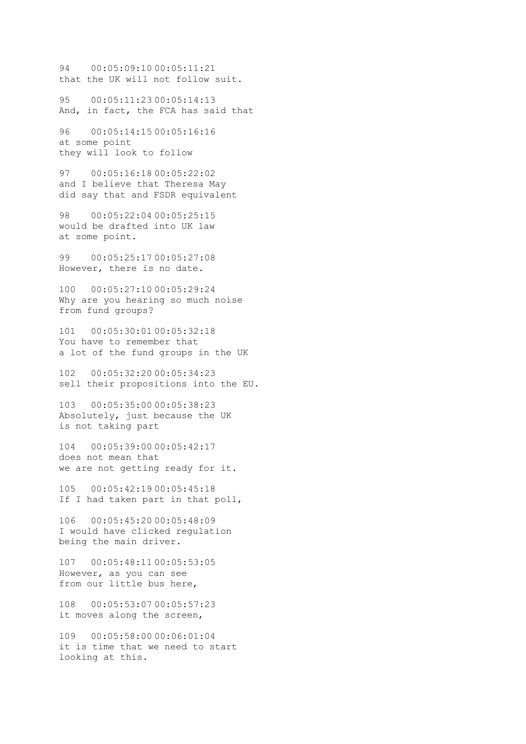94 00:05:09:10 00:05:11:21 that the UK will not follow suit.

95 00:05:11:23 00:05:14:13 And, in fact, the FCA has said that

96 00:05:14:15 00:05:16:16 at some point they will look to follow

97 00:05:16:18 00:05:22:02 and I believe that Theresa May did say that and FSDR equivalent

98 00:05:22:04 00:05:25:15 would be drafted into UK law at some point.

99 00:05:25:17 00:05:27:08 However, there is no date.

100 00:05:27:10 00:05:29:24 Why are you hearing so much noise from fund groups?

101 00:05:30:01 00:05:32:18 You have to remember that a lot of the fund groups in the UK

102 00:05:32:20 00:05:34:23 sell their propositions into the EU.

103 00:05:35:00 00:05:38:23 Absolutely, just because the UK is not taking part

104 00:05:39:00 00:05:42:17 does not mean that we are not getting ready for it.

105 00:05:42:19 00:05:45:18 If I had taken part in that poll,

106 00:05:45:20 00:05:48:09 I would have clicked regulation being the main driver.

107 00:05:48:11 00:05:53:05 However, as you can see from our little bus here,

108 00:05:53:07 00:05:57:23 it moves along the screen,

109 00:05:58:00 00:06:01:04 it is time that we need to start looking at this.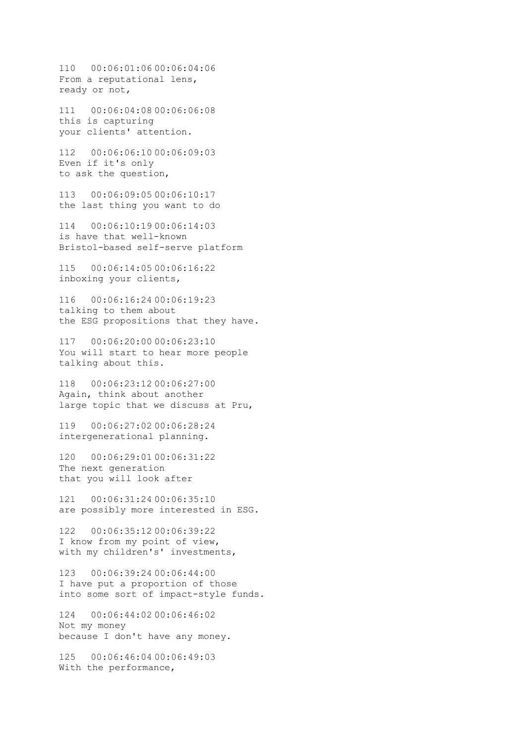110 00:06:01:06 00:06:04:06 From a reputational lens, ready or not,

111 00:06:04:08 00:06:06:08 this is capturing your clients' attention.

112 00:06:06:10 00:06:09:03 Even if it's only to ask the question,

113 00:06:09:05 00:06:10:17 the last thing you want to do

114 00:06:10:19 00:06:14:03 is have that well-known Bristol-based self-serve platform

115 00:06:14:05 00:06:16:22 inboxing your clients,

116 00:06:16:24 00:06:19:23 talking to them about the ESG propositions that they have.

117 00:06:20:00 00:06:23:10 You will start to hear more people talking about this.

118 00:06:23:12 00:06:27:00 Again, think about another large topic that we discuss at Pru,

119 00:06:27:02 00:06:28:24 intergenerational planning.

120 00:06:29:01 00:06:31:22 The next generation that you will look after

121 00:06:31:24 00:06:35:10 are possibly more interested in ESG.

122 00:06:35:12 00:06:39:22 I know from my point of view, with my children's' investments,

123 00:06:39:24 00:06:44:00 I have put a proportion of those into some sort of impact-style funds.

124 00:06:44:02 00:06:46:02 Not my money because I don't have any money.

125 00:06:46:04 00:06:49:03 With the performance,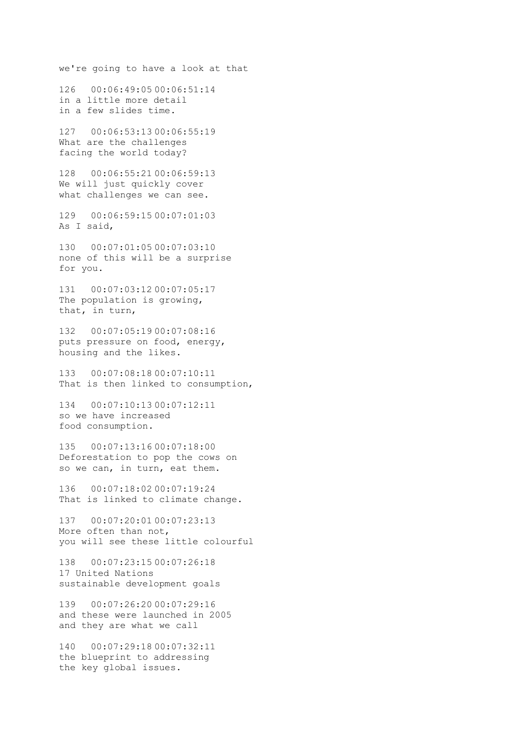we're going to have a look at that 126 00:06:49:05 00:06:51:14 in a little more detail in a few slides time. 127 00:06:53:13 00:06:55:19 What are the challenges facing the world today? 128 00:06:55:21 00:06:59:13 We will just quickly cover what challenges we can see. 129 00:06:59:15 00:07:01:03 As I said, 130 00:07:01:05 00:07:03:10 none of this will be a surprise for you. 131 00:07:03:12 00:07:05:17 The population is growing, that, in turn, 132 00:07:05:19 00:07:08:16 puts pressure on food, energy, housing and the likes. 133 00:07:08:18 00:07:10:11 That is then linked to consumption, 134 00:07:10:13 00:07:12:11 so we have increased food consumption. 135 00:07:13:16 00:07:18:00 Deforestation to pop the cows on so we can, in turn, eat them. 136 00:07:18:02 00:07:19:24 That is linked to climate change. 137 00:07:20:01 00:07:23:13 More often than not, you will see these little colourful 138 00:07:23:15 00:07:26:18 17 United Nations sustainable development goals 139 00:07:26:20 00:07:29:16 and these were launched in 2005 and they are what we call

140 00:07:29:18 00:07:32:11 the blueprint to addressing the key global issues.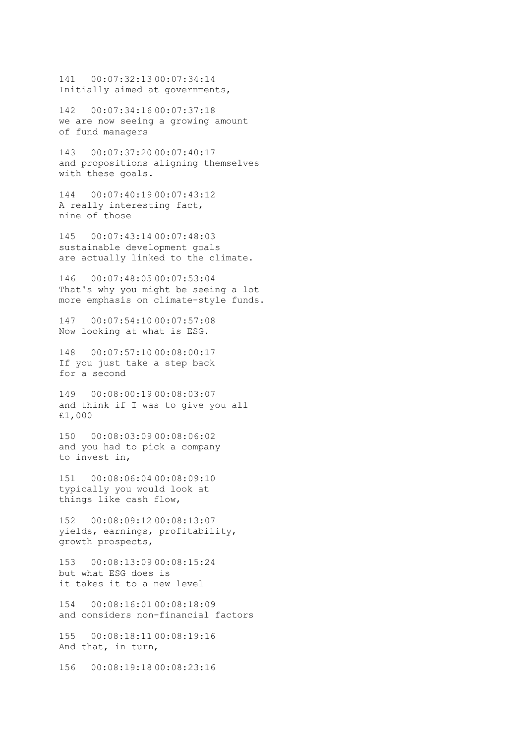141 00:07:32:13 00:07:34:14 Initially aimed at governments,

142 00:07:34:16 00:07:37:18 we are now seeing a growing amount of fund managers

143 00:07:37:20 00:07:40:17 and propositions aligning themselves with these goals.

144 00:07:40:19 00:07:43:12 A really interesting fact, nine of those

145 00:07:43:14 00:07:48:03 sustainable development goals are actually linked to the climate.

146 00:07:48:05 00:07:53:04 That's why you might be seeing a lot more emphasis on climate-style funds.

147 00:07:54:10 00:07:57:08 Now looking at what is ESG.

148 00:07:57:10 00:08:00:17 If you just take a step back for a second

149 00:08:00:19 00:08:03:07 and think if I was to give you all £1,000

150 00:08:03:09 00:08:06:02 and you had to pick a company to invest in,

151 00:08:06:04 00:08:09:10 typically you would look at things like cash flow,

152 00:08:09:12 00:08:13:07 yields, earnings, profitability, growth prospects,

153 00:08:13:09 00:08:15:24 but what ESG does is it takes it to a new level

154 00:08:16:01 00:08:18:09 and considers non-financial factors

155 00:08:18:11 00:08:19:16 And that, in turn,

156 00:08:19:18 00:08:23:16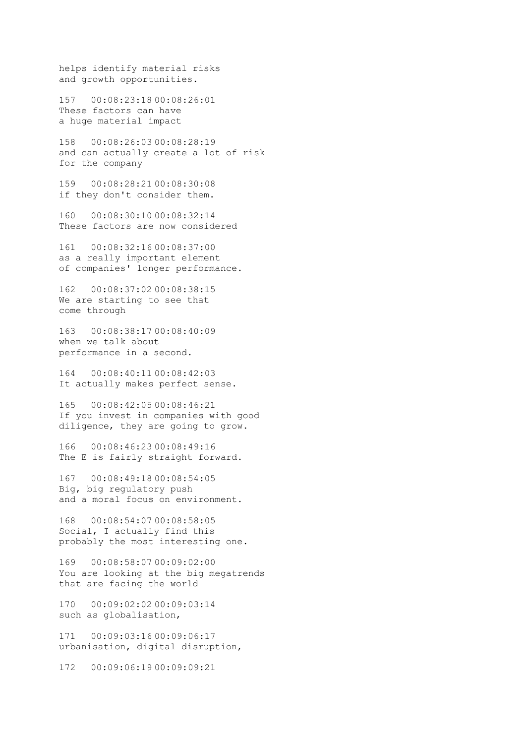helps identify material risks and growth opportunities.

157 00:08:23:18 00:08:26:01 These factors can have a huge material impact

158 00:08:26:03 00:08:28:19 and can actually create a lot of risk for the company

159 00:08:28:21 00:08:30:08 if they don't consider them.

160 00:08:30:10 00:08:32:14 These factors are now considered

161 00:08:32:16 00:08:37:00 as a really important element of companies' longer performance.

162 00:08:37:02 00:08:38:15 We are starting to see that come through

163 00:08:38:17 00:08:40:09 when we talk about performance in a second.

164 00:08:40:11 00:08:42:03 It actually makes perfect sense.

165 00:08:42:05 00:08:46:21 If you invest in companies with good diligence, they are going to grow.

166 00:08:46:23 00:08:49:16 The E is fairly straight forward.

167 00:08:49:18 00:08:54:05 Big, big regulatory push and a moral focus on environment.

168 00:08:54:07 00:08:58:05 Social, I actually find this probably the most interesting one.

169 00:08:58:07 00:09:02:00 You are looking at the big megatrends that are facing the world

170 00:09:02:02 00:09:03:14 such as globalisation,

171 00:09:03:16 00:09:06:17 urbanisation, digital disruption,

172 00:09:06:19 00:09:09:21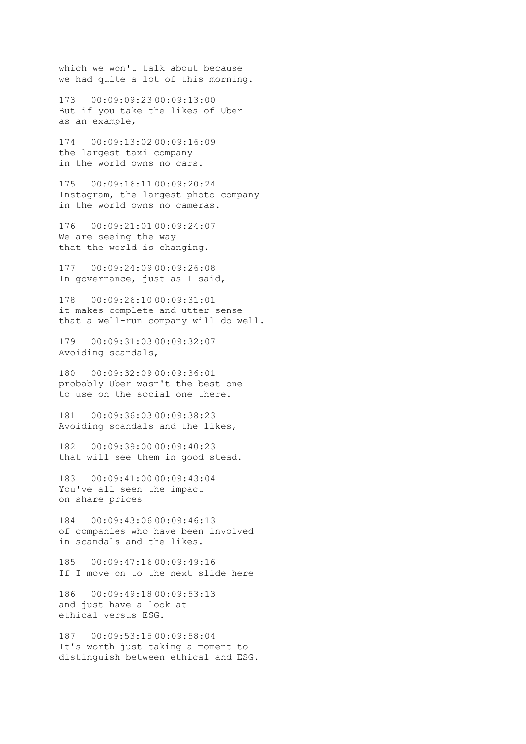which we won't talk about because we had quite a lot of this morning.

173 00:09:09:23 00:09:13:00 But if you take the likes of Uber as an example,

174 00:09:13:02 00:09:16:09 the largest taxi company in the world owns no cars.

175 00:09:16:11 00:09:20:24 Instagram, the largest photo company in the world owns no cameras.

176 00:09:21:01 00:09:24:07 We are seeing the way that the world is changing.

177 00:09:24:09 00:09:26:08 In governance, just as I said,

178 00:09:26:10 00:09:31:01 it makes complete and utter sense that a well-run company will do well.

179 00:09:31:03 00:09:32:07 Avoiding scandals,

180 00:09:32:09 00:09:36:01 probably Uber wasn't the best one to use on the social one there.

181 00:09:36:03 00:09:38:23 Avoiding scandals and the likes,

182 00:09:39:00 00:09:40:23 that will see them in good stead.

183 00:09:41:00 00:09:43:04 You've all seen the impact on share prices

184 00:09:43:06 00:09:46:13 of companies who have been involved in scandals and the likes.

185 00:09:47:16 00:09:49:16 If I move on to the next slide here

186 00:09:49:18 00:09:53:13 and just have a look at ethical versus ESG.

187 00:09:53:15 00:09:58:04 It's worth just taking a moment to distinguish between ethical and ESG.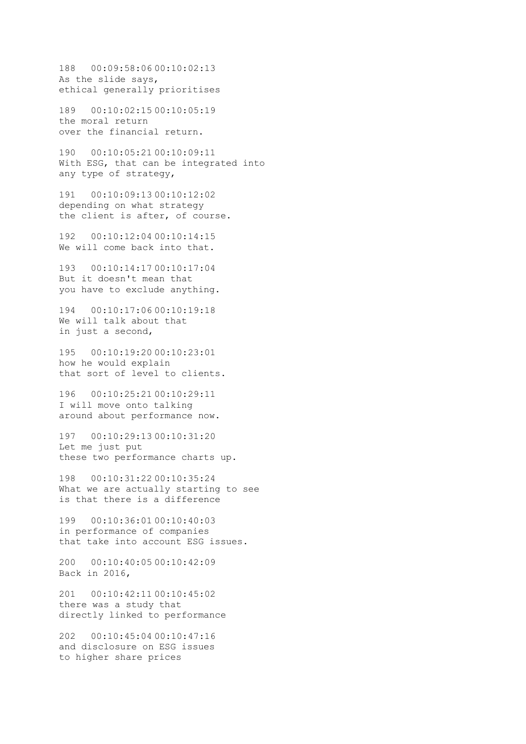188 00:09:58:06 00:10:02:13 As the slide says, ethical generally prioritises

189 00:10:02:15 00:10:05:19 the moral return over the financial return.

190 00:10:05:21 00:10:09:11 With ESG, that can be integrated into any type of strategy,

191 00:10:09:13 00:10:12:02 depending on what strategy the client is after, of course.

192 00:10:12:04 00:10:14:15 We will come back into that.

193 00:10:14:17 00:10:17:04 But it doesn't mean that you have to exclude anything.

194 00:10:17:06 00:10:19:18 We will talk about that in just a second,

195 00:10:19:20 00:10:23:01 how he would explain that sort of level to clients.

196 00:10:25:21 00:10:29:11 I will move onto talking around about performance now.

197 00:10:29:13 00:10:31:20 Let me just put these two performance charts up.

198 00:10:31:22 00:10:35:24 What we are actually starting to see is that there is a difference

199 00:10:36:01 00:10:40:03 in performance of companies that take into account ESG issues.

200 00:10:40:05 00:10:42:09 Back in 2016,

201 00:10:42:11 00:10:45:02 there was a study that directly linked to performance

202 00:10:45:04 00:10:47:16 and disclosure on ESG issues to higher share prices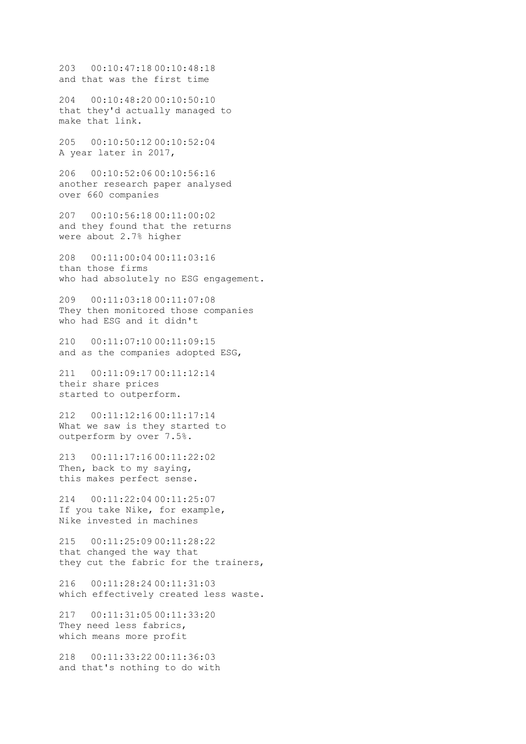203 00:10:47:18 00:10:48:18 and that was the first time

204 00:10:48:20 00:10:50:10 that they'd actually managed to make that link.

205 00:10:50:12 00:10:52:04 A year later in 2017,

206 00:10:52:06 00:10:56:16 another research paper analysed over 660 companies

207 00:10:56:18 00:11:00:02 and they found that the returns were about 2.7% higher

208 00:11:00:04 00:11:03:16 than those firms who had absolutely no ESG engagement.

209 00:11:03:18 00:11:07:08 They then monitored those companies who had ESG and it didn't

210 00:11:07:10 00:11:09:15 and as the companies adopted ESG,

211 00:11:09:17 00:11:12:14 their share prices started to outperform.

212 00:11:12:16 00:11:17:14 What we saw is they started to outperform by over 7.5%.

213 00:11:17:16 00:11:22:02 Then, back to my saying, this makes perfect sense.

214 00:11:22:04 00:11:25:07 If you take Nike, for example, Nike invested in machines

215 00:11:25:09 00:11:28:22 that changed the way that they cut the fabric for the trainers,

216 00:11:28:24 00:11:31:03 which effectively created less waste.

217 00:11:31:05 00:11:33:20 They need less fabrics, which means more profit

218 00:11:33:22 00:11:36:03 and that's nothing to do with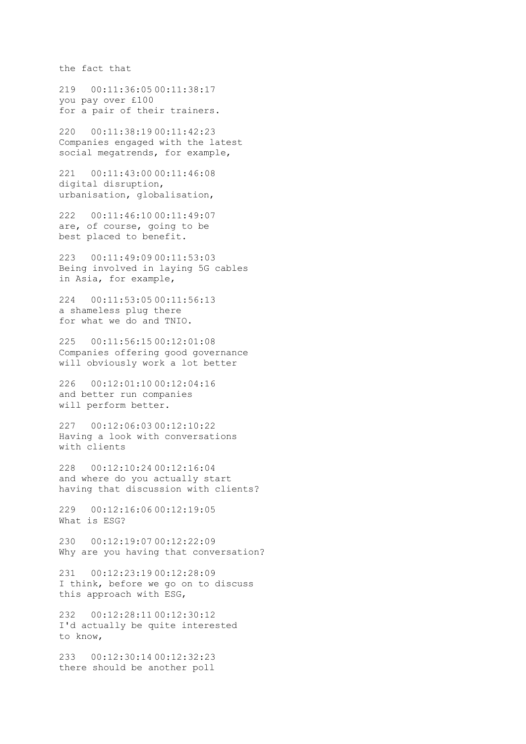the fact that

219 00:11:36:05 00:11:38:17 you pay over £100 for a pair of their trainers.

220 00:11:38:19 00:11:42:23 Companies engaged with the latest social megatrends, for example,

221 00:11:43:00 00:11:46:08 digital disruption, urbanisation, globalisation,

222 00:11:46:10 00:11:49:07 are, of course, going to be best placed to benefit.

223 00:11:49:09 00:11:53:03 Being involved in laying 5G cables in Asia, for example,

224 00:11:53:05 00:11:56:13 a shameless plug there for what we do and TNIO.

225 00:11:56:15 00:12:01:08 Companies offering good governance will obviously work a lot better

226 00:12:01:10 00:12:04:16 and better run companies will perform better.

227 00:12:06:03 00:12:10:22 Having a look with conversations with clients

228 00:12:10:24 00:12:16:04 and where do you actually start having that discussion with clients?

229 00:12:16:06 00:12:19:05 What is ESG?

230 00:12:19:07 00:12:22:09 Why are you having that conversation?

231 00:12:23:19 00:12:28:09 I think, before we go on to discuss this approach with ESG,

232 00:12:28:11 00:12:30:12 I'd actually be quite interested to know,

233 00:12:30:14 00:12:32:23 there should be another poll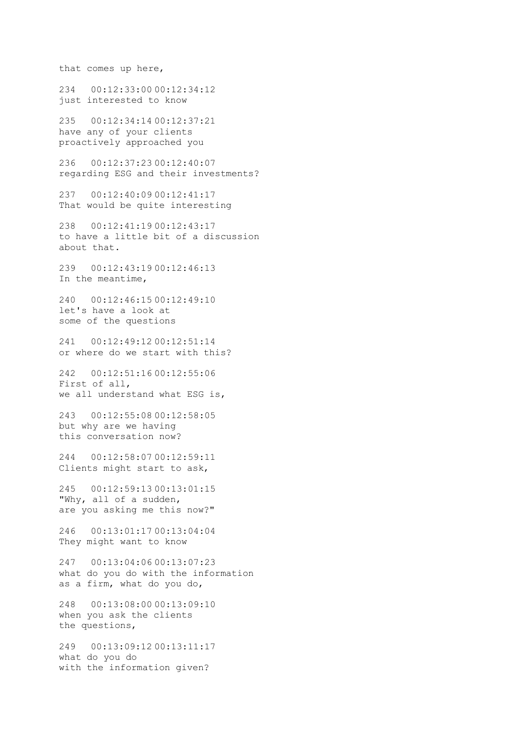that comes up here,

234 00:12:33:00 00:12:34:12 just interested to know

235 00:12:34:14 00:12:37:21 have any of your clients proactively approached you

236 00:12:37:23 00:12:40:07 regarding ESG and their investments?

237 00:12:40:09 00:12:41:17 That would be quite interesting

238 00:12:41:19 00:12:43:17 to have a little bit of a discussion about that.

239 00:12:43:19 00:12:46:13 In the meantime,

240 00:12:46:15 00:12:49:10 let's have a look at some of the questions

241 00:12:49:12 00:12:51:14 or where do we start with this?

242 00:12:51:16 00:12:55:06 First of all, we all understand what ESG is,

243 00:12:55:08 00:12:58:05 but why are we having this conversation now?

244 00:12:58:07 00:12:59:11 Clients might start to ask,

245 00:12:59:13 00:13:01:15 "Why, all of a sudden, are you asking me this now?"

246 00:13:01:17 00:13:04:04 They might want to know

247 00:13:04:06 00:13:07:23 what do you do with the information as a firm, what do you do,

248 00:13:08:00 00:13:09:10 when you ask the clients the questions,

249 00:13:09:12 00:13:11:17 what do you do with the information given?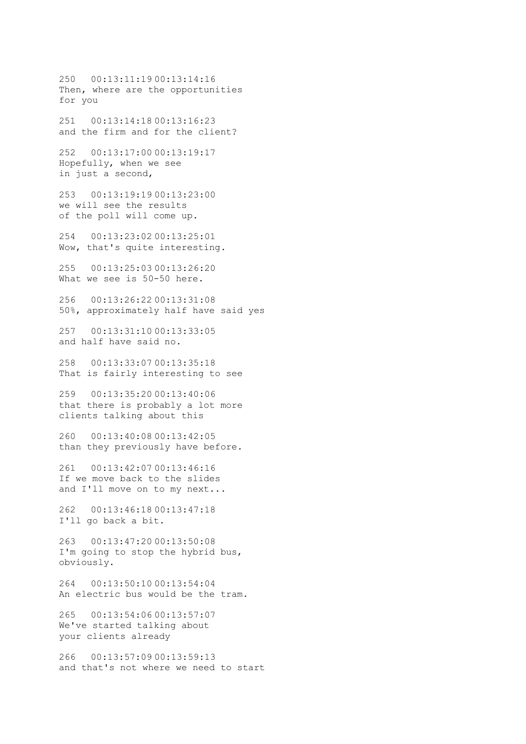250 00:13:11:19 00:13:14:16 Then, where are the opportunities for you 251 00:13:14:18 00:13:16:23 and the firm and for the client? 252 00:13:17:00 00:13:19:17 Hopefully, when we see in just a second, 253 00:13:19:19 00:13:23:00 we will see the results of the poll will come up. 254 00:13:23:02 00:13:25:01 Wow, that's quite interesting. 255 00:13:25:03 00:13:26:20 What we see is 50-50 here. 256 00:13:26:22 00:13:31:08 50%, approximately half have said yes 257 00:13:31:10 00:13:33:05 and half have said no. 258 00:13:33:07 00:13:35:18 That is fairly interesting to see 259 00:13:35:20 00:13:40:06 that there is probably a lot more clients talking about this 260 00:13:40:08 00:13:42:05 than they previously have before. 261 00:13:42:07 00:13:46:16 If we move back to the slides and I'll move on to my next... 262 00:13:46:18 00:13:47:18 I'll go back a bit. 263 00:13:47:20 00:13:50:08 I'm going to stop the hybrid bus, obviously. 264 00:13:50:10 00:13:54:04 An electric bus would be the tram. 265 00:13:54:06 00:13:57:07 We've started talking about your clients already 266 00:13:57:09 00:13:59:13 and that's not where we need to start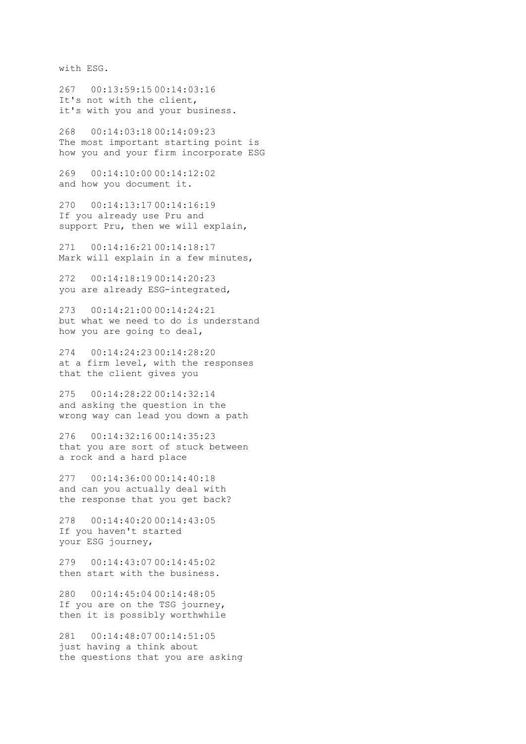with ESG.

267 00:13:59:15 00:14:03:16 It's not with the client, it's with you and your business.

268 00:14:03:18 00:14:09:23 The most important starting point is how you and your firm incorporate ESG

269 00:14:10:00 00:14:12:02 and how you document it.

270 00:14:13:17 00:14:16:19 If you already use Pru and support Pru, then we will explain,

271 00:14:16:21 00:14:18:17 Mark will explain in a few minutes,

272 00:14:18:19 00:14:20:23 you are already ESG-integrated,

273 00:14:21:00 00:14:24:21 but what we need to do is understand how you are going to deal,

274 00:14:24:23 00:14:28:20 at a firm level, with the responses that the client gives you

275 00:14:28:22 00:14:32:14 and asking the question in the wrong way can lead you down a path

276 00:14:32:16 00:14:35:23 that you are sort of stuck between a rock and a hard place

277 00:14:36:00 00:14:40:18 and can you actually deal with the response that you get back?

278 00:14:40:20 00:14:43:05 If you haven't started your ESG journey,

279 00:14:43:07 00:14:45:02 then start with the business.

280 00:14:45:04 00:14:48:05 If you are on the TSG journey, then it is possibly worthwhile

281 00:14:48:07 00:14:51:05 just having a think about the questions that you are asking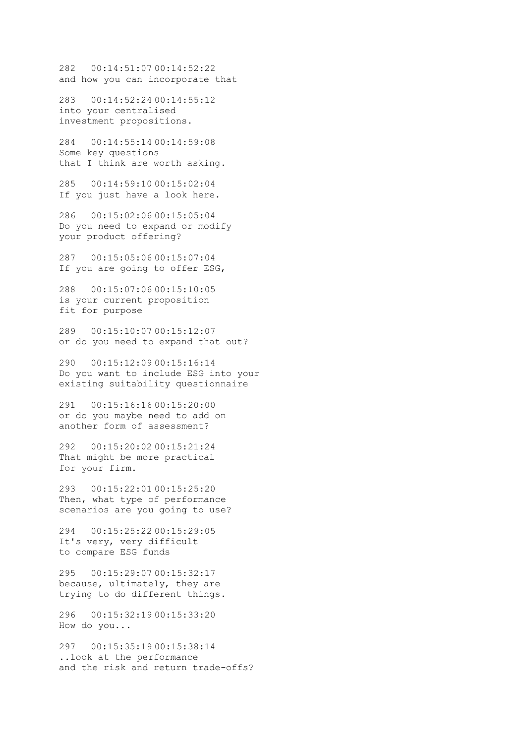282 00:14:51:07 00:14:52:22 and how you can incorporate that

283 00:14:52:24 00:14:55:12 into your centralised investment propositions.

284 00:14:55:14 00:14:59:08 Some key questions that I think are worth asking.

285 00:14:59:10 00:15:02:04 If you just have a look here.

286 00:15:02:06 00:15:05:04 Do you need to expand or modify your product offering?

287 00:15:05:06 00:15:07:04 If you are going to offer ESG,

288 00:15:07:06 00:15:10:05 is your current proposition fit for purpose

289 00:15:10:07 00:15:12:07 or do you need to expand that out?

290 00:15:12:09 00:15:16:14 Do you want to include ESG into your existing suitability questionnaire

291 00:15:16:16 00:15:20:00 or do you maybe need to add on another form of assessment?

292 00:15:20:02 00:15:21:24 That might be more practical for your firm.

293 00:15:22:01 00:15:25:20 Then, what type of performance scenarios are you going to use?

294 00:15:25:22 00:15:29:05 It's very, very difficult to compare ESG funds

295 00:15:29:07 00:15:32:17 because, ultimately, they are trying to do different things.

296 00:15:32:19 00:15:33:20 How do you...

297 00:15:35:19 00:15:38:14 ..look at the performance and the risk and return trade-offs?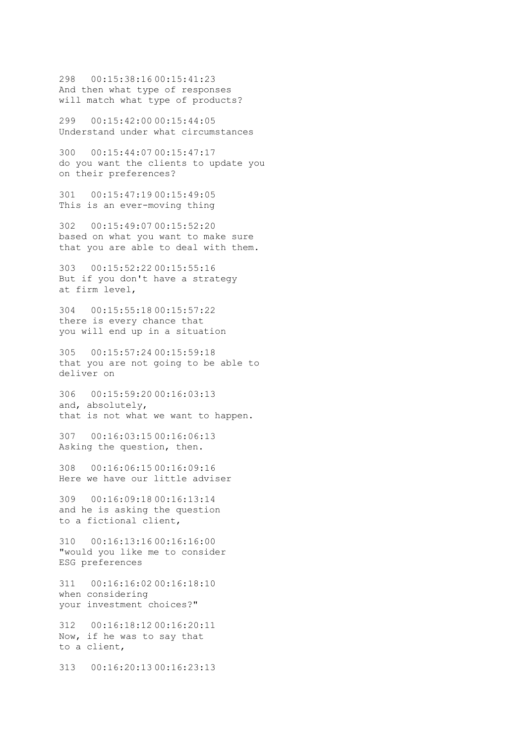298 00:15:38:16 00:15:41:23 And then what type of responses will match what type of products?

299 00:15:42:00 00:15:44:05 Understand under what circumstances

300 00:15:44:07 00:15:47:17 do you want the clients to update you on their preferences?

301 00:15:47:19 00:15:49:05 This is an ever-moving thing

302 00:15:49:07 00:15:52:20 based on what you want to make sure that you are able to deal with them.

303 00:15:52:22 00:15:55:16 But if you don't have a strategy at firm level,

304 00:15:55:18 00:15:57:22 there is every chance that you will end up in a situation

305 00:15:57:24 00:15:59:18 that you are not going to be able to deliver on

306 00:15:59:20 00:16:03:13 and, absolutely, that is not what we want to happen.

307 00:16:03:15 00:16:06:13 Asking the question, then.

308 00:16:06:15 00:16:09:16 Here we have our little adviser

309 00:16:09:18 00:16:13:14 and he is asking the question to a fictional client,

310 00:16:13:16 00:16:16:00 "would you like me to consider ESG preferences

311 00:16:16:02 00:16:18:10 when considering your investment choices?"

312 00:16:18:12 00:16:20:11 Now, if he was to say that to a client,

313 00:16:20:13 00:16:23:13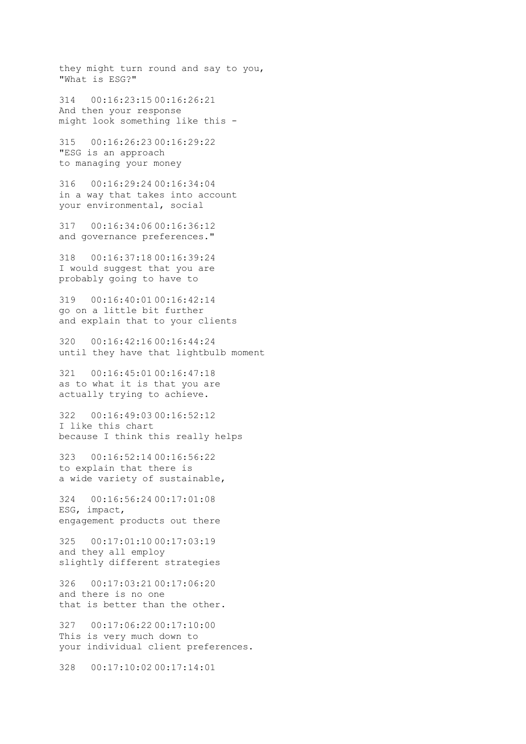they might turn round and say to you, "What is ESG?"

314 00:16:23:15 00:16:26:21 And then your response might look something like this -

315 00:16:26:23 00:16:29:22 "ESG is an approach to managing your money

316 00:16:29:24 00:16:34:04 in a way that takes into account your environmental, social

317 00:16:34:06 00:16:36:12 and governance preferences."

318 00:16:37:18 00:16:39:24 I would suggest that you are probably going to have to

319 00:16:40:01 00:16:42:14 go on a little bit further and explain that to your clients

320 00:16:42:16 00:16:44:24 until they have that lightbulb moment

321 00:16:45:01 00:16:47:18 as to what it is that you are actually trying to achieve.

322 00:16:49:03 00:16:52:12 I like this chart because I think this really helps

323 00:16:52:14 00:16:56:22 to explain that there is a wide variety of sustainable,

324 00:16:56:24 00:17:01:08 ESG, impact, engagement products out there

325 00:17:01:10 00:17:03:19 and they all employ slightly different strategies

326 00:17:03:21 00:17:06:20 and there is no one that is better than the other.

327 00:17:06:22 00:17:10:00 This is very much down to your individual client preferences.

328 00:17:10:02 00:17:14:01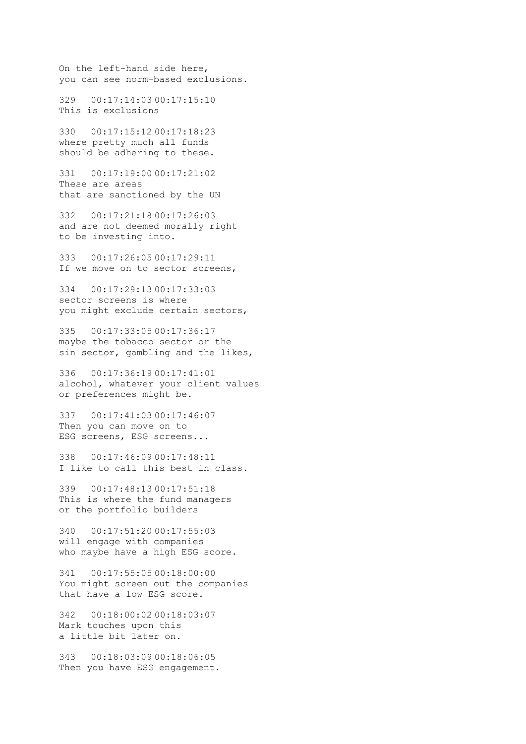On the left-hand side here, you can see norm-based exclusions.

329 00:17:14:03 00:17:15:10 This is exclusions

330 00:17:15:12 00:17:18:23 where pretty much all funds should be adhering to these.

331 00:17:19:00 00:17:21:02 These are areas that are sanctioned by the UN

332 00:17:21:18 00:17:26:03 and are not deemed morally right to be investing into.

333 00:17:26:05 00:17:29:11 If we move on to sector screens,

334 00:17:29:13 00:17:33:03 sector screens is where you might exclude certain sectors,

335 00:17:33:05 00:17:36:17 maybe the tobacco sector or the sin sector, gambling and the likes,

336 00:17:36:19 00:17:41:01 alcohol, whatever your client values or preferences might be.

337 00:17:41:03 00:17:46:07 Then you can move on to ESG screens, ESG screens...

338 00:17:46:09 00:17:48:11 I like to call this best in class.

339 00:17:48:13 00:17:51:18 This is where the fund managers or the portfolio builders

340 00:17:51:20 00:17:55:03 will engage with companies who maybe have a high ESG score.

341 00:17:55:05 00:18:00:00 You might screen out the companies that have a low ESG score.

342 00:18:00:02 00:18:03:07 Mark touches upon this a little bit later on.

343 00:18:03:09 00:18:06:05 Then you have ESG engagement.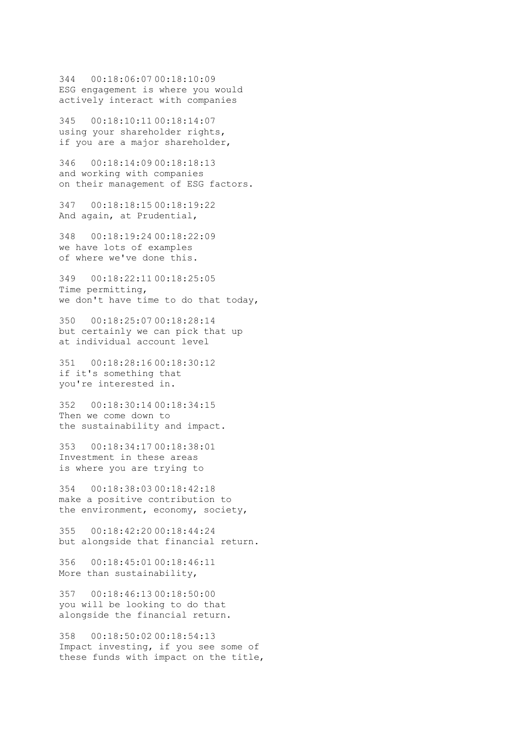344 00:18:06:07 00:18:10:09 ESG engagement is where you would actively interact with companies

345 00:18:10:11 00:18:14:07 using your shareholder rights, if you are a major shareholder,

346 00:18:14:09 00:18:18:13 and working with companies on their management of ESG factors.

347 00:18:18:15 00:18:19:22 And again, at Prudential,

348 00:18:19:24 00:18:22:09 we have lots of examples of where we've done this.

349 00:18:22:11 00:18:25:05 Time permitting, we don't have time to do that today,

350 00:18:25:07 00:18:28:14 but certainly we can pick that up at individual account level

351 00:18:28:16 00:18:30:12 if it's something that you're interested in.

352 00:18:30:14 00:18:34:15 Then we come down to the sustainability and impact.

353 00:18:34:17 00:18:38:01 Investment in these areas is where you are trying to

354 00:18:38:03 00:18:42:18 make a positive contribution to the environment, economy, society,

355 00:18:42:20 00:18:44:24 but alongside that financial return.

356 00:18:45:01 00:18:46:11 More than sustainability,

357 00:18:46:13 00:18:50:00 you will be looking to do that alongside the financial return.

358 00:18:50:02 00:18:54:13 Impact investing, if you see some of these funds with impact on the title,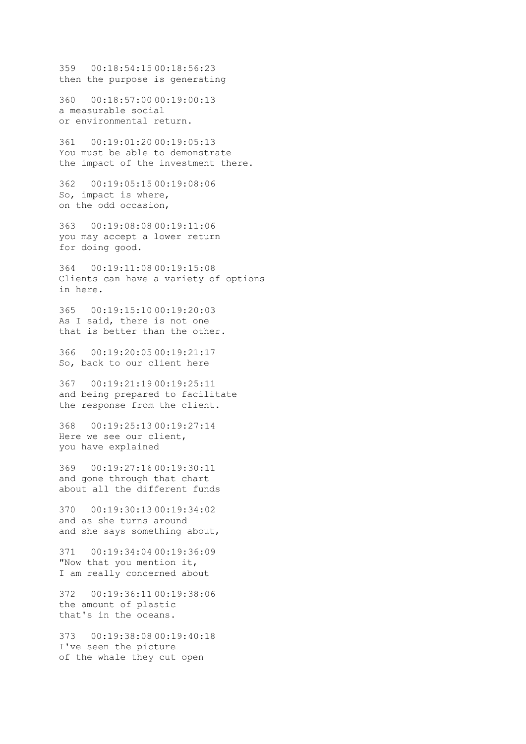359 00:18:54:15 00:18:56:23 then the purpose is generating

360 00:18:57:00 00:19:00:13 a measurable social or environmental return.

361 00:19:01:20 00:19:05:13 You must be able to demonstrate the impact of the investment there.

362 00:19:05:15 00:19:08:06 So, impact is where, on the odd occasion,

363 00:19:08:08 00:19:11:06 you may accept a lower return for doing good.

364 00:19:11:08 00:19:15:08 Clients can have a variety of options in here.

365 00:19:15:10 00:19:20:03 As I said, there is not one that is better than the other.

366 00:19:20:05 00:19:21:17 So, back to our client here

367 00:19:21:19 00:19:25:11 and being prepared to facilitate the response from the client.

368 00:19:25:13 00:19:27:14 Here we see our client, you have explained

369 00:19:27:16 00:19:30:11 and gone through that chart about all the different funds

370 00:19:30:13 00:19:34:02 and as she turns around and she says something about,

371 00:19:34:04 00:19:36:09 "Now that you mention it, I am really concerned about

372 00:19:36:11 00:19:38:06 the amount of plastic that's in the oceans.

373 00:19:38:08 00:19:40:18 I've seen the picture of the whale they cut open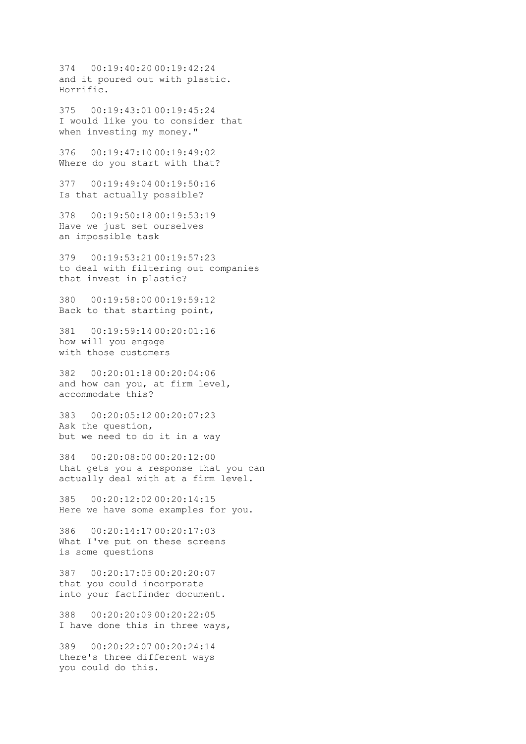374 00:19:40:20 00:19:42:24 and it poured out with plastic. Horrific.

375 00:19:43:01 00:19:45:24 I would like you to consider that when investing my money."

376 00:19:47:10 00:19:49:02 Where do you start with that?

377 00:19:49:04 00:19:50:16 Is that actually possible?

378 00:19:50:18 00:19:53:19 Have we just set ourselves an impossible task

379 00:19:53:21 00:19:57:23 to deal with filtering out companies that invest in plastic?

380 00:19:58:00 00:19:59:12 Back to that starting point,

381 00:19:59:14 00:20:01:16 how will you engage with those customers

382 00:20:01:18 00:20:04:06 and how can you, at firm level, accommodate this?

383 00:20:05:12 00:20:07:23 Ask the question, but we need to do it in a way

384 00:20:08:00 00:20:12:00 that gets you a response that you can actually deal with at a firm level.

385 00:20:12:02 00:20:14:15 Here we have some examples for you.

386 00:20:14:17 00:20:17:03 What I've put on these screens is some questions

387 00:20:17:05 00:20:20:07 that you could incorporate into your factfinder document.

388 00:20:20:09 00:20:22:05 I have done this in three ways,

389 00:20:22:07 00:20:24:14 there's three different ways you could do this.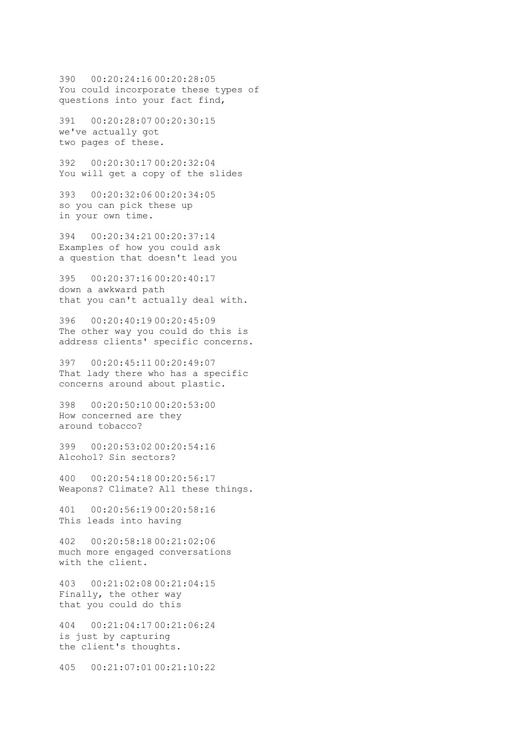390 00:20:24:16 00:20:28:05 You could incorporate these types of questions into your fact find,

391 00:20:28:07 00:20:30:15 we've actually got two pages of these.

392 00:20:30:17 00:20:32:04 You will get a copy of the slides

393 00:20:32:06 00:20:34:05 so you can pick these up in your own time.

394 00:20:34:21 00:20:37:14 Examples of how you could ask a question that doesn't lead you

395 00:20:37:16 00:20:40:17 down a awkward path that you can't actually deal with.

396 00:20:40:19 00:20:45:09 The other way you could do this is address clients' specific concerns.

397 00:20:45:11 00:20:49:07 That lady there who has a specific concerns around about plastic.

398 00:20:50:10 00:20:53:00 How concerned are they around tobacco?

399 00:20:53:02 00:20:54:16 Alcohol? Sin sectors?

400 00:20:54:18 00:20:56:17 Weapons? Climate? All these things.

401 00:20:56:19 00:20:58:16 This leads into having

402 00:20:58:18 00:21:02:06 much more engaged conversations with the client.

403 00:21:02:08 00:21:04:15 Finally, the other way that you could do this

404 00:21:04:17 00:21:06:24 is just by capturing the client's thoughts.

405 00:21:07:01 00:21:10:22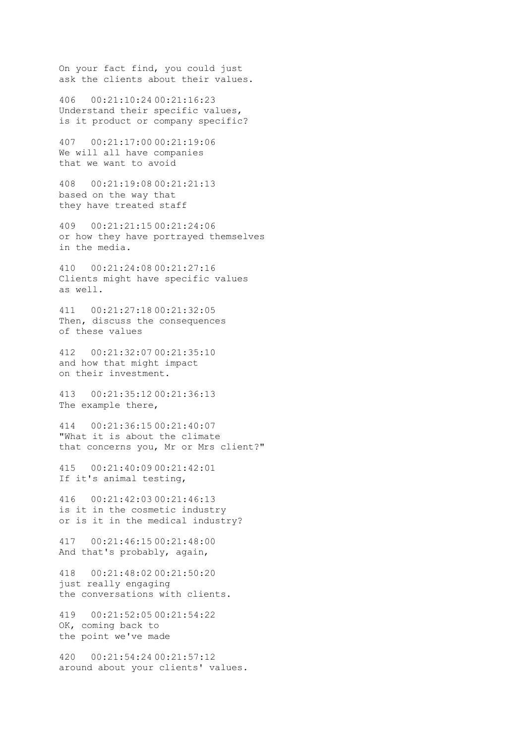On your fact find, you could just ask the clients about their values.

406 00:21:10:24 00:21:16:23 Understand their specific values, is it product or company specific?

407 00:21:17:00 00:21:19:06 We will all have companies that we want to avoid

408 00:21:19:08 00:21:21:13 based on the way that they have treated staff

409 00:21:21:15 00:21:24:06 or how they have portrayed themselves in the media.

410 00:21:24:08 00:21:27:16 Clients might have specific values as well.

411 00:21:27:18 00:21:32:05 Then, discuss the consequences of these values

412 00:21:32:07 00:21:35:10 and how that might impact on their investment.

413 00:21:35:12 00:21:36:13 The example there,

414 00:21:36:15 00:21:40:07 "What it is about the climate that concerns you, Mr or Mrs client?"

415 00:21:40:09 00:21:42:01 If it's animal testing,

416 00:21:42:03 00:21:46:13 is it in the cosmetic industry or is it in the medical industry?

417 00:21:46:15 00:21:48:00 And that's probably, again,

418 00:21:48:02 00:21:50:20 just really engaging the conversations with clients.

419 00:21:52:05 00:21:54:22 OK, coming back to the point we've made

420 00:21:54:24 00:21:57:12 around about your clients' values.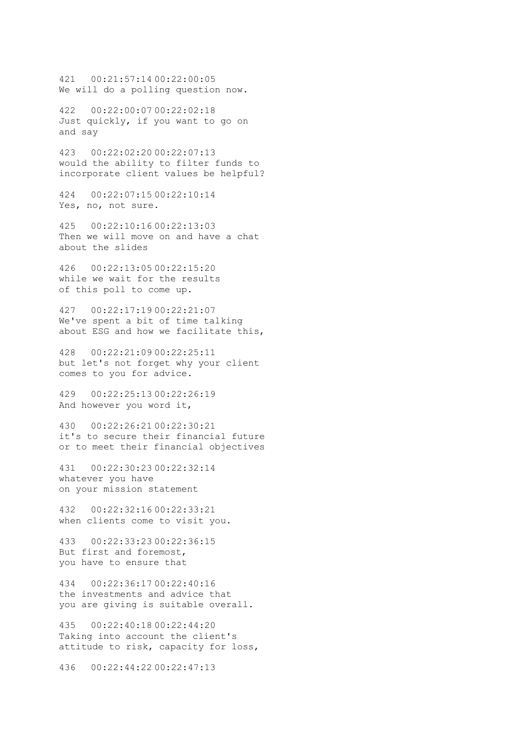421 00:21:57:14 00:22:00:05 We will do a polling question now.

422 00:22:00:07 00:22:02:18 Just quickly, if you want to go on and say

423 00:22:02:20 00:22:07:13 would the ability to filter funds to incorporate client values be helpful?

424 00:22:07:15 00:22:10:14 Yes, no, not sure.

425 00:22:10:16 00:22:13:03 Then we will move on and have a chat about the slides

426 00:22:13:05 00:22:15:20 while we wait for the results of this poll to come up.

427 00:22:17:19 00:22:21:07 We've spent a bit of time talking about ESG and how we facilitate this,

428 00:22:21:09 00:22:25:11 but let's not forget why your client comes to you for advice.

429 00:22:25:13 00:22:26:19 And however you word it,

430 00:22:26:21 00:22:30:21 it's to secure their financial future or to meet their financial objectives

431 00:22:30:23 00:22:32:14 whatever you have on your mission statement

432 00:22:32:16 00:22:33:21 when clients come to visit you.

433 00:22:33:23 00:22:36:15 But first and foremost, you have to ensure that

434 00:22:36:17 00:22:40:16 the investments and advice that you are giving is suitable overall.

435 00:22:40:18 00:22:44:20 Taking into account the client's attitude to risk, capacity for loss,

436 00:22:44:22 00:22:47:13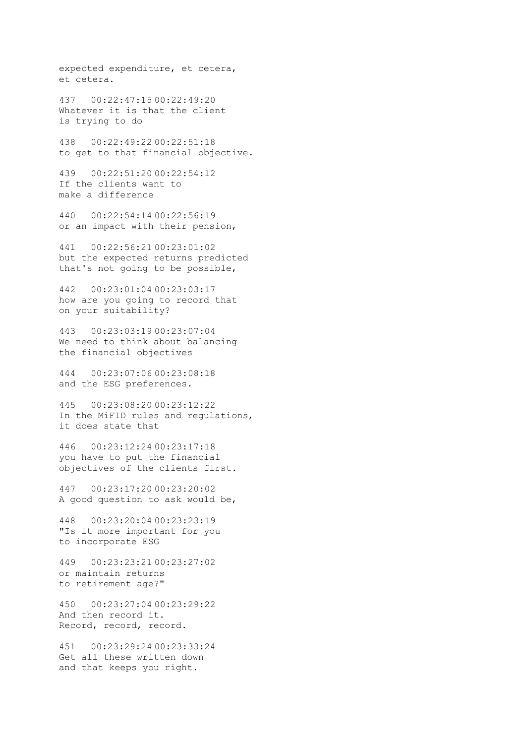expected expenditure, et cetera, et cetera.

437 00:22:47:15 00:22:49:20 Whatever it is that the client is trying to do

438 00:22:49:22 00:22:51:18 to get to that financial objective.

439 00:22:51:20 00:22:54:12 If the clients want to make a difference

440 00:22:54:14 00:22:56:19 or an impact with their pension,

441 00:22:56:21 00:23:01:02 but the expected returns predicted that's not going to be possible,

442 00:23:01:04 00:23:03:17 how are you going to record that on your suitability?

443 00:23:03:19 00:23:07:04 We need to think about balancing the financial objectives

444 00:23:07:06 00:23:08:18 and the ESG preferences.

445 00:23:08:20 00:23:12:22 In the MiFID rules and regulations, it does state that

446 00:23:12:24 00:23:17:18 you have to put the financial objectives of the clients first.

447 00:23:17:20 00:23:20:02 A good question to ask would be,

448 00:23:20:04 00:23:23:19 "Is it more important for you to incorporate ESG

449 00:23:23:21 00:23:27:02 or maintain returns to retirement age?"

450 00:23:27:04 00:23:29:22 And then record it. Record, record, record.

451 00:23:29:24 00:23:33:24 Get all these written down and that keeps you right.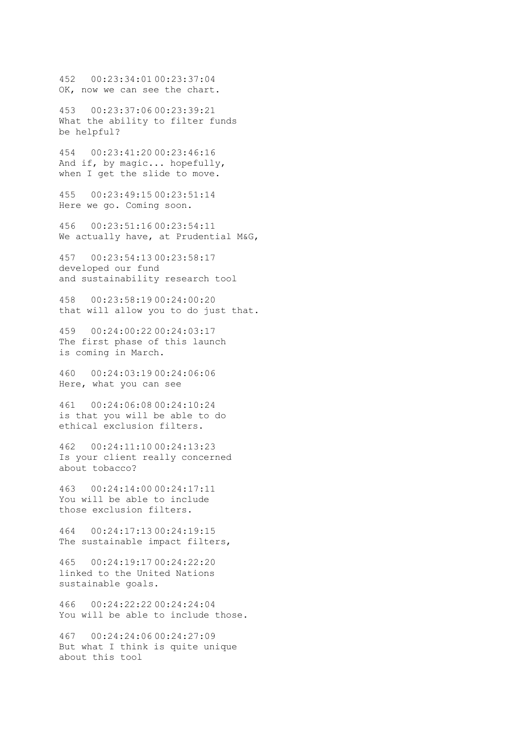452 00:23:34:01 00:23:37:04 OK, now we can see the chart.

453 00:23:37:06 00:23:39:21 What the ability to filter funds be helpful?

454 00:23:41:20 00:23:46:16 And if, by magic... hopefully, when I get the slide to move.

455 00:23:49:15 00:23:51:14 Here we go. Coming soon.

456 00:23:51:16 00:23:54:11 We actually have, at Prudential M&G,

457 00:23:54:13 00:23:58:17 developed our fund and sustainability research tool

458 00:23:58:19 00:24:00:20 that will allow you to do just that.

459 00:24:00:22 00:24:03:17 The first phase of this launch is coming in March.

460 00:24:03:19 00:24:06:06 Here, what you can see

461 00:24:06:08 00:24:10:24 is that you will be able to do ethical exclusion filters.

462 00:24:11:10 00:24:13:23 Is your client really concerned about tobacco?

463 00:24:14:00 00:24:17:11 You will be able to include those exclusion filters.

464 00:24:17:13 00:24:19:15 The sustainable impact filters,

465 00:24:19:17 00:24:22:20 linked to the United Nations sustainable goals.

466 00:24:22:22 00:24:24:04 You will be able to include those.

467 00:24:24:06 00:24:27:09 But what I think is quite unique about this tool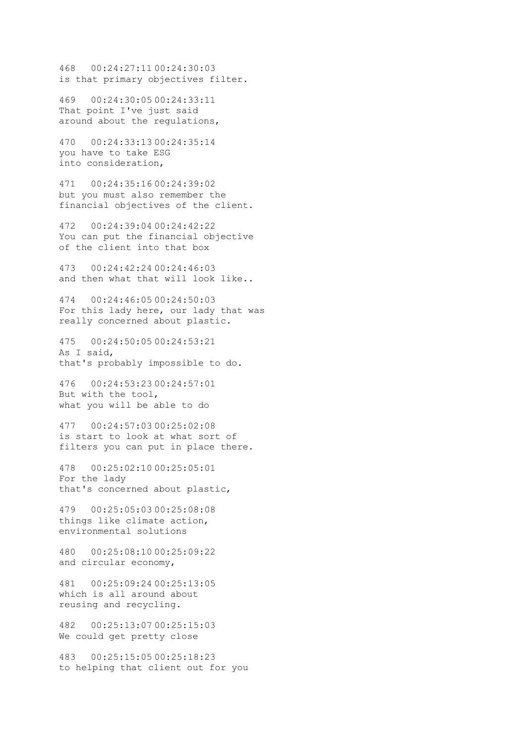468 00:24:27:11 00:24:30:03 is that primary objectives filter.

469 00:24:30:05 00:24:33:11 That point I've just said around about the regulations,

470 00:24:33:13 00:24:35:14 you have to take ESG into consideration,

471 00:24:35:16 00:24:39:02 but you must also remember the financial objectives of the client.

472 00:24:39:04 00:24:42:22 You can put the financial objective of the client into that box

473 00:24:42:24 00:24:46:03 and then what that will look like..

474 00:24:46:05 00:24:50:03 For this lady here, our lady that was really concerned about plastic.

475 00:24:50:05 00:24:53:21 As I said, that's probably impossible to do.

476 00:24:53:23 00:24:57:01 But with the tool, what you will be able to do

477 00:24:57:03 00:25:02:08 is start to look at what sort of filters you can put in place there.

478 00:25:02:10 00:25:05:01 For the lady that's concerned about plastic,

479 00:25:05:03 00:25:08:08 things like climate action, environmental solutions

480 00:25:08:10 00:25:09:22 and circular economy,

481 00:25:09:24 00:25:13:05 which is all around about reusing and recycling.

482 00:25:13:07 00:25:15:03 We could get pretty close

483 00:25:15:05 00:25:18:23 to helping that client out for you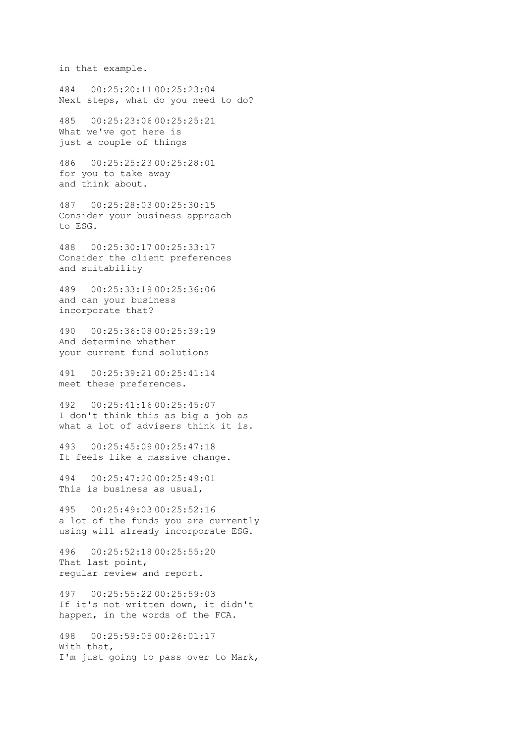in that example.

484 00:25:20:11 00:25:23:04 Next steps, what do you need to do?

485 00:25:23:06 00:25:25:21 What we've got here is just a couple of things

486 00:25:25:23 00:25:28:01 for you to take away and think about.

487 00:25:28:03 00:25:30:15 Consider your business approach to ESG.

488 00:25:30:17 00:25:33:17 Consider the client preferences and suitability

489 00:25:33:19 00:25:36:06 and can your business incorporate that?

490 00:25:36:08 00:25:39:19 And determine whether your current fund solutions

491 00:25:39:21 00:25:41:14 meet these preferences.

492 00:25:41:16 00:25:45:07 I don't think this as big a job as what a lot of advisers think it is.

493 00:25:45:09 00:25:47:18 It feels like a massive change.

494 00:25:47:20 00:25:49:01 This is business as usual,

495 00:25:49:03 00:25:52:16 a lot of the funds you are currently using will already incorporate ESG.

496 00:25:52:18 00:25:55:20 That last point, regular review and report.

497 00:25:55:22 00:25:59:03 If it's not written down, it didn't happen, in the words of the FCA.

498 00:25:59:05 00:26:01:17 With that, I'm just going to pass over to Mark,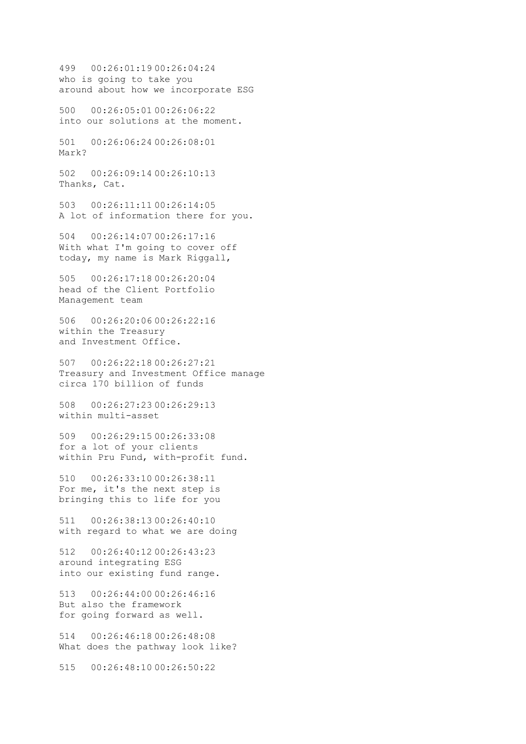499 00:26:01:19 00:26:04:24 who is going to take you around about how we incorporate ESG

500 00:26:05:01 00:26:06:22 into our solutions at the moment.

501 00:26:06:24 00:26:08:01 Mark?

502 00:26:09:14 00:26:10:13 Thanks, Cat.

503 00:26:11:11 00:26:14:05 A lot of information there for you.

504 00:26:14:07 00:26:17:16 With what I'm going to cover off today, my name is Mark Riggall,

505 00:26:17:18 00:26:20:04 head of the Client Portfolio Management team

506 00:26:20:06 00:26:22:16 within the Treasury and Investment Office.

507 00:26:22:18 00:26:27:21 Treasury and Investment Office manage circa 170 billion of funds

508 00:26:27:23 00:26:29:13 within multi-asset

509 00:26:29:15 00:26:33:08 for a lot of your clients within Pru Fund, with-profit fund.

510 00:26:33:10 00:26:38:11 For me, it's the next step is bringing this to life for you

511 00:26:38:13 00:26:40:10 with regard to what we are doing

512 00:26:40:12 00:26:43:23 around integrating ESG into our existing fund range.

513 00:26:44:00 00:26:46:16 But also the framework for going forward as well.

514 00:26:46:18 00:26:48:08 What does the pathway look like?

515 00:26:48:10 00:26:50:22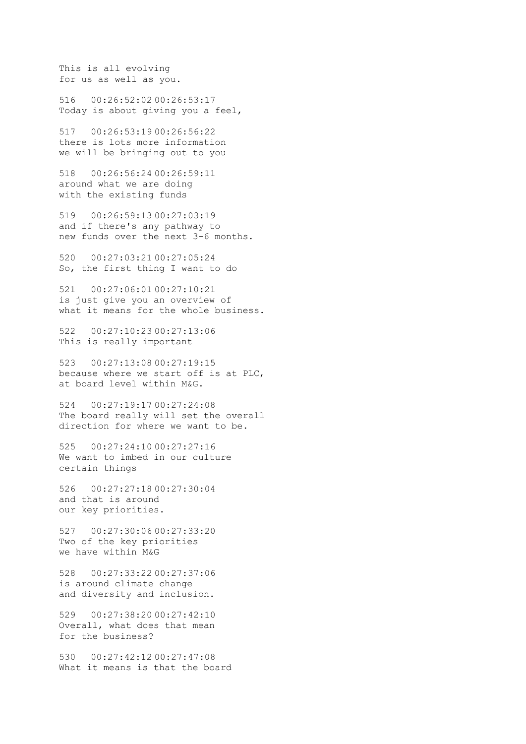This is all evolving for us as well as you.

516 00:26:52:02 00:26:53:17 Today is about giving you a feel,

517 00:26:53:19 00:26:56:22 there is lots more information we will be bringing out to you

518 00:26:56:24 00:26:59:11 around what we are doing with the existing funds

519 00:26:59:13 00:27:03:19 and if there's any pathway to new funds over the next 3-6 months.

520 00:27:03:21 00:27:05:24 So, the first thing I want to do

521 00:27:06:01 00:27:10:21 is just give you an overview of what it means for the whole business.

522 00:27:10:23 00:27:13:06 This is really important

523 00:27:13:08 00:27:19:15 because where we start off is at PLC, at board level within M&G.

524 00:27:19:17 00:27:24:08 The board really will set the overall direction for where we want to be.

525 00:27:24:10 00:27:27:16 We want to imbed in our culture certain things

526 00:27:27:18 00:27:30:04 and that is around our key priorities.

527 00:27:30:06 00:27:33:20 Two of the key priorities we have within M&G

528 00:27:33:22 00:27:37:06 is around climate change and diversity and inclusion.

529 00:27:38:20 00:27:42:10 Overall, what does that mean for the business?

530 00:27:42:12 00:27:47:08 What it means is that the board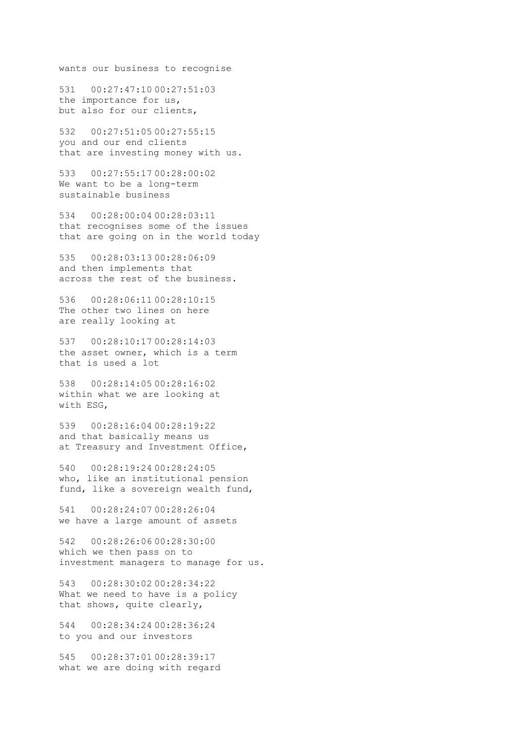wants our business to recognise

531 00:27:47:10 00:27:51:03 the importance for us, but also for our clients,

532 00:27:51:05 00:27:55:15 you and our end clients that are investing money with us.

533 00:27:55:17 00:28:00:02 We want to be a long-term sustainable business

534 00:28:00:04 00:28:03:11 that recognises some of the issues that are going on in the world today

535 00:28:03:13 00:28:06:09 and then implements that across the rest of the business.

536 00:28:06:11 00:28:10:15 The other two lines on here are really looking at

537 00:28:10:17 00:28:14:03 the asset owner, which is a term that is used a lot

538 00:28:14:05 00:28:16:02 within what we are looking at with ESG,

539 00:28:16:04 00:28:19:22 and that basically means us at Treasury and Investment Office,

540 00:28:19:24 00:28:24:05 who, like an institutional pension fund, like a sovereign wealth fund,

541 00:28:24:07 00:28:26:04 we have a large amount of assets

542 00:28:26:06 00:28:30:00 which we then pass on to investment managers to manage for us.

543 00:28:30:02 00:28:34:22 What we need to have is a policy that shows, quite clearly,

544 00:28:34:24 00:28:36:24 to you and our investors

545 00:28:37:01 00:28:39:17 what we are doing with regard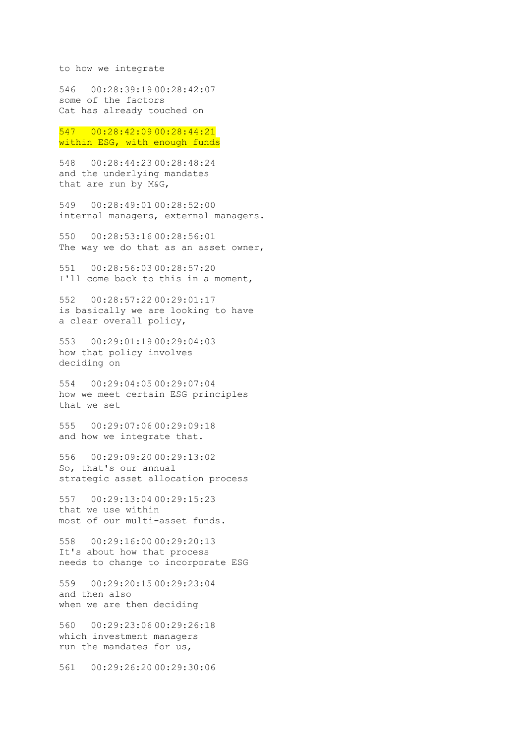to how we integrate

546 00:28:39:19 00:28:42:07 some of the factors Cat has already touched on

547 00:28:42:09 00:28:44:21 within ESG, with enough funds

548 00:28:44:23 00:28:48:24 and the underlying mandates that are run by M&G,

549 00:28:49:01 00:28:52:00 internal managers, external managers.

550 00:28:53:16 00:28:56:01 The way we do that as an asset owner,

551 00:28:56:03 00:28:57:20 I'll come back to this in a moment,

552 00:28:57:22 00:29:01:17 is basically we are looking to have a clear overall policy,

553 00:29:01:19 00:29:04:03 how that policy involves deciding on

554 00:29:04:05 00:29:07:04 how we meet certain ESG principles that we set

555 00:29:07:06 00:29:09:18 and how we integrate that.

556 00:29:09:20 00:29:13:02 So, that's our annual strategic asset allocation process

557 00:29:13:04 00:29:15:23 that we use within most of our multi-asset funds.

558 00:29:16:00 00:29:20:13 It's about how that process needs to change to incorporate ESG

559 00:29:20:15 00:29:23:04 and then also when we are then deciding

560 00:29:23:06 00:29:26:18 which investment managers run the mandates for us,

561 00:29:26:20 00:29:30:06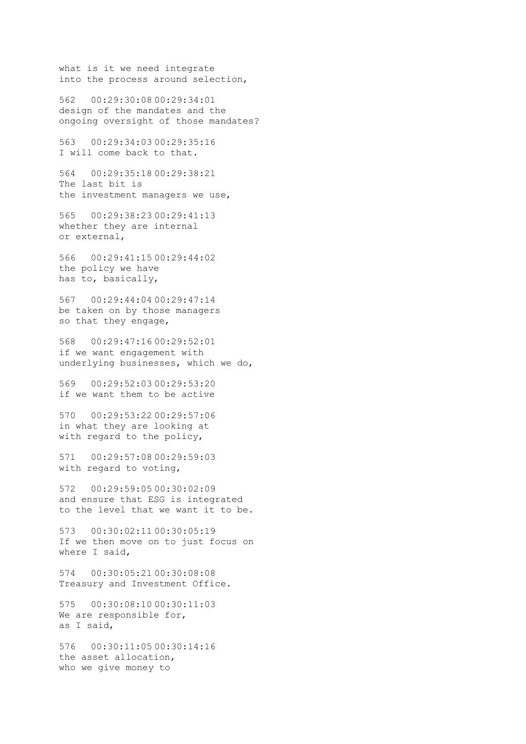what is it we need integrate into the process around selection,

562 00:29:30:08 00:29:34:01 design of the mandates and the ongoing oversight of those mandates?

563 00:29:34:03 00:29:35:16 I will come back to that.

564 00:29:35:18 00:29:38:21 The last bit is the investment managers we use,

565 00:29:38:23 00:29:41:13 whether they are internal or external,

566 00:29:41:15 00:29:44:02 the policy we have has to, basically,

567 00:29:44:04 00:29:47:14 be taken on by those managers so that they engage,

568 00:29:47:16 00:29:52:01 if we want engagement with underlying businesses, which we do,

569 00:29:52:03 00:29:53:20 if we want them to be active

570 00:29:53:22 00:29:57:06 in what they are looking at with regard to the policy,

571 00:29:57:08 00:29:59:03 with regard to voting,

572 00:29:59:05 00:30:02:09 and ensure that ESG is integrated to the level that we want it to be.

573 00:30:02:11 00:30:05:19 If we then move on to just focus on where I said,

574 00:30:05:21 00:30:08:08 Treasury and Investment Office.

575 00:30:08:10 00:30:11:03 We are responsible for, as I said,

576 00:30:11:05 00:30:14:16 the asset allocation, who we give money to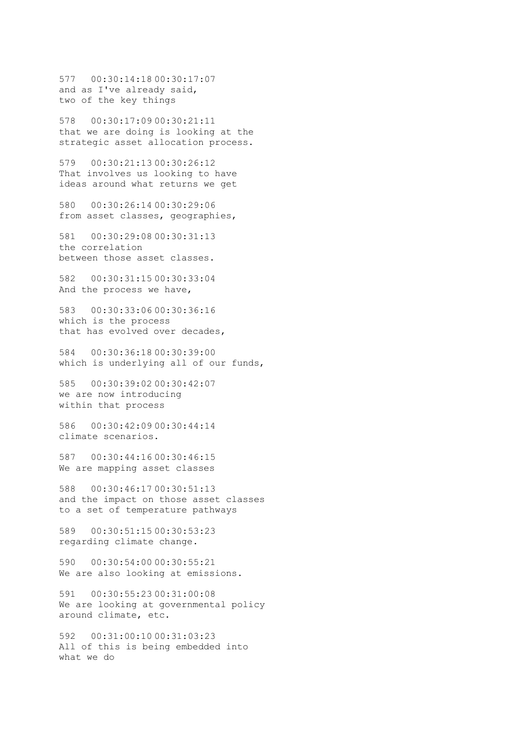577 00:30:14:18 00:30:17:07 and as I've already said, two of the key things

578 00:30:17:09 00:30:21:11 that we are doing is looking at the strategic asset allocation process.

579 00:30:21:13 00:30:26:12 That involves us looking to have ideas around what returns we get

580 00:30:26:14 00:30:29:06 from asset classes, geographies,

581 00:30:29:08 00:30:31:13 the correlation between those asset classes.

582 00:30:31:15 00:30:33:04 And the process we have,

583 00:30:33:06 00:30:36:16 which is the process that has evolved over decades,

584 00:30:36:18 00:30:39:00 which is underlying all of our funds,

585 00:30:39:02 00:30:42:07 we are now introducing within that process

586 00:30:42:09 00:30:44:14 climate scenarios.

587 00:30:44:16 00:30:46:15 We are mapping asset classes

588 00:30:46:17 00:30:51:13 and the impact on those asset classes to a set of temperature pathways

589 00:30:51:15 00:30:53:23 regarding climate change.

590 00:30:54:00 00:30:55:21 We are also looking at emissions.

591 00:30:55:23 00:31:00:08 We are looking at governmental policy around climate, etc.

592 00:31:00:10 00:31:03:23 All of this is being embedded into what we do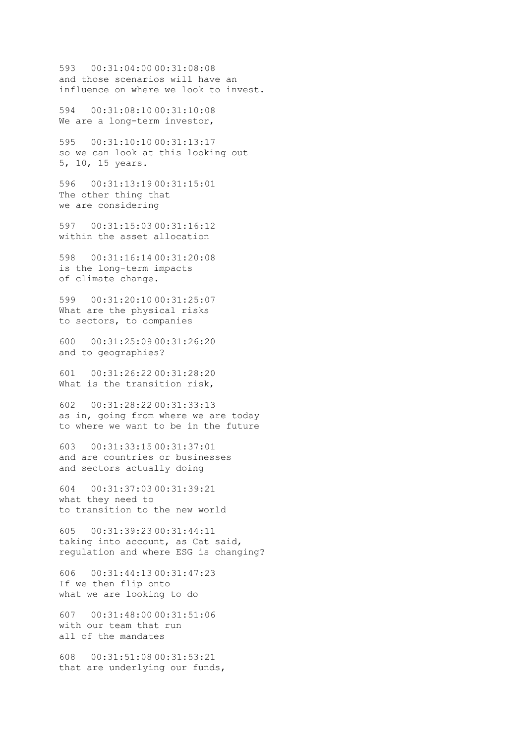593 00:31:04:00 00:31:08:08 and those scenarios will have an influence on where we look to invest.

594 00:31:08:10 00:31:10:08 We are a long-term investor,

595 00:31:10:10 00:31:13:17 so we can look at this looking out 5, 10, 15 years.

596 00:31:13:19 00:31:15:01 The other thing that we are considering

597 00:31:15:03 00:31:16:12 within the asset allocation

598 00:31:16:14 00:31:20:08 is the long-term impacts of climate change.

599 00:31:20:10 00:31:25:07 What are the physical risks to sectors, to companies

600 00:31:25:09 00:31:26:20 and to geographies?

601 00:31:26:22 00:31:28:20 What is the transition risk,

602 00:31:28:22 00:31:33:13 as in, going from where we are today to where we want to be in the future

603 00:31:33:15 00:31:37:01 and are countries or businesses and sectors actually doing

604 00:31:37:03 00:31:39:21 what they need to to transition to the new world

605 00:31:39:23 00:31:44:11 taking into account, as Cat said, regulation and where ESG is changing?

606 00:31:44:13 00:31:47:23 If we then flip onto what we are looking to do

607 00:31:48:00 00:31:51:06 with our team that run all of the mandates

608 00:31:51:08 00:31:53:21 that are underlying our funds,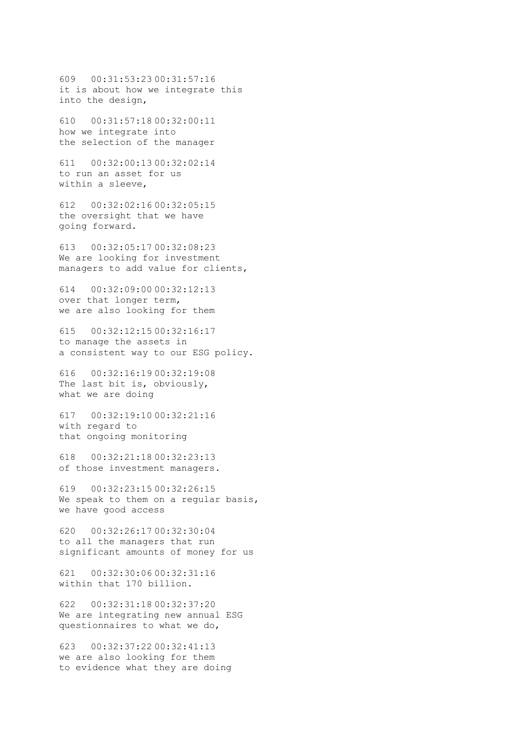609 00:31:53:23 00:31:57:16 it is about how we integrate this into the design,

610 00:31:57:18 00:32:00:11 how we integrate into the selection of the manager

611 00:32:00:13 00:32:02:14 to run an asset for us within a sleeve,

612 00:32:02:16 00:32:05:15 the oversight that we have going forward.

613 00:32:05:17 00:32:08:23 We are looking for investment managers to add value for clients,

614 00:32:09:00 00:32:12:13 over that longer term, we are also looking for them

615 00:32:12:15 00:32:16:17 to manage the assets in a consistent way to our ESG policy.

616 00:32:16:19 00:32:19:08 The last bit is, obviously, what we are doing

617 00:32:19:10 00:32:21:16 with regard to that ongoing monitoring

618 00:32:21:18 00:32:23:13 of those investment managers.

619 00:32:23:15 00:32:26:15 We speak to them on a regular basis, we have good access

620 00:32:26:17 00:32:30:04 to all the managers that run significant amounts of money for us

621 00:32:30:06 00:32:31:16 within that 170 billion.

622 00:32:31:18 00:32:37:20 We are integrating new annual ESG questionnaires to what we do,

623 00:32:37:22 00:32:41:13 we are also looking for them to evidence what they are doing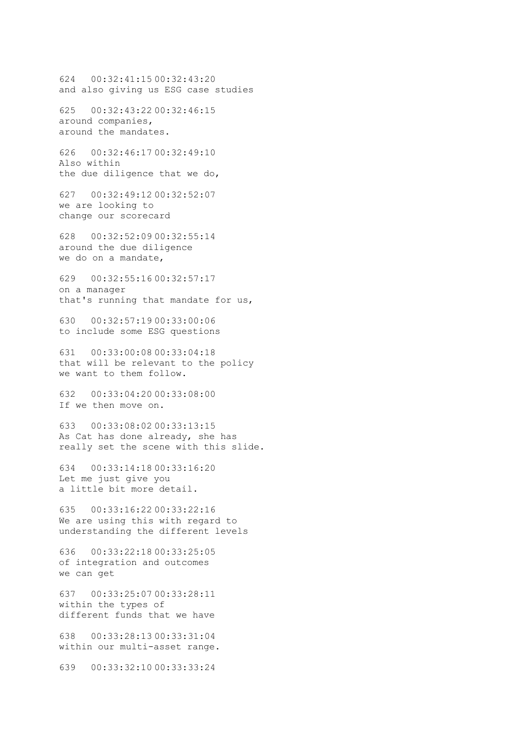624 00:32:41:15 00:32:43:20 and also giving us ESG case studies 625 00:32:43:22 00:32:46:15 around companies, around the mandates. 626 00:32:46:17 00:32:49:10 Also within the due diligence that we do, 627 00:32:49:12 00:32:52:07 we are looking to change our scorecard 628 00:32:52:09 00:32:55:14 around the due diligence we do on a mandate, 629 00:32:55:16 00:32:57:17 on a manager that's running that mandate for us, 630 00:32:57:19 00:33:00:06 to include some ESG questions 631 00:33:00:08 00:33:04:18 that will be relevant to the policy

we want to them follow.

632 00:33:04:20 00:33:08:00 If we then move on.

633 00:33:08:02 00:33:13:15 As Cat has done already, she has really set the scene with this slide.

634 00:33:14:18 00:33:16:20 Let me just give you a little bit more detail.

635 00:33:16:22 00:33:22:16 We are using this with regard to understanding the different levels

636 00:33:22:18 00:33:25:05 of integration and outcomes we can get

637 00:33:25:07 00:33:28:11 within the types of different funds that we have

638 00:33:28:13 00:33:31:04 within our multi-asset range.

639 00:33:32:10 00:33:33:24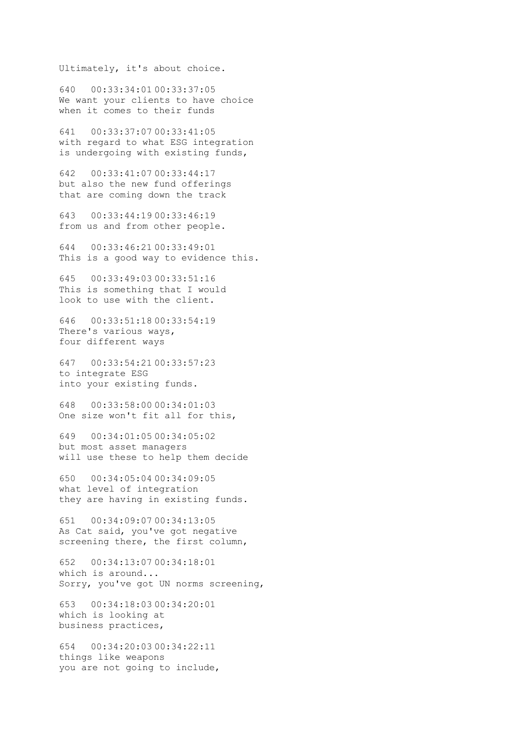Ultimately, it's about choice.

640 00:33:34:01 00:33:37:05 We want your clients to have choice when it comes to their funds

641 00:33:37:07 00:33:41:05 with regard to what ESG integration is undergoing with existing funds,

642 00:33:41:07 00:33:44:17 but also the new fund offerings that are coming down the track

643 00:33:44:19 00:33:46:19 from us and from other people.

644 00:33:46:21 00:33:49:01 This is a good way to evidence this.

645 00:33:49:03 00:33:51:16 This is something that I would look to use with the client.

646 00:33:51:18 00:33:54:19 There's various ways, four different ways

647 00:33:54:21 00:33:57:23 to integrate ESG into your existing funds.

648 00:33:58:00 00:34:01:03 One size won't fit all for this,

649 00:34:01:05 00:34:05:02 but most asset managers will use these to help them decide

650 00:34:05:04 00:34:09:05 what level of integration they are having in existing funds.

651 00:34:09:07 00:34:13:05 As Cat said, you've got negative screening there, the first column,

652 00:34:13:07 00:34:18:01 which is around... Sorry, you've got UN norms screening,

653 00:34:18:03 00:34:20:01 which is looking at business practices,

654 00:34:20:03 00:34:22:11 things like weapons you are not going to include,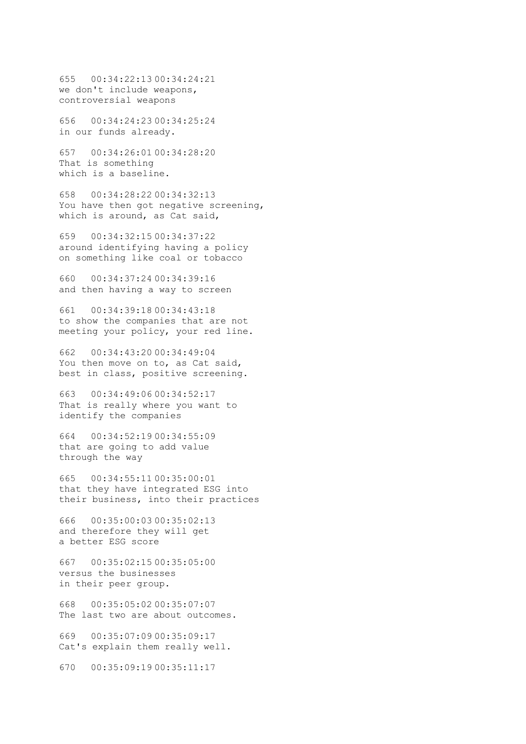655 00:34:22:13 00:34:24:21 we don't include weapons, controversial weapons

656 00:34:24:23 00:34:25:24 in our funds already.

657 00:34:26:01 00:34:28:20 That is something which is a baseline.

658 00:34:28:22 00:34:32:13 You have then got negative screening, which is around, as Cat said,

659 00:34:32:15 00:34:37:22 around identifying having a policy on something like coal or tobacco

660 00:34:37:24 00:34:39:16 and then having a way to screen

661 00:34:39:18 00:34:43:18 to show the companies that are not meeting your policy, your red line.

662 00:34:43:20 00:34:49:04 You then move on to, as Cat said, best in class, positive screening.

663 00:34:49:06 00:34:52:17 That is really where you want to identify the companies

664 00:34:52:19 00:34:55:09 that are going to add value through the way

665 00:34:55:11 00:35:00:01 that they have integrated ESG into their business, into their practices

666 00:35:00:03 00:35:02:13 and therefore they will get a better ESG score

667 00:35:02:15 00:35:05:00 versus the businesses in their peer group.

668 00:35:05:02 00:35:07:07 The last two are about outcomes.

669 00:35:07:09 00:35:09:17 Cat's explain them really well.

670 00:35:09:19 00:35:11:17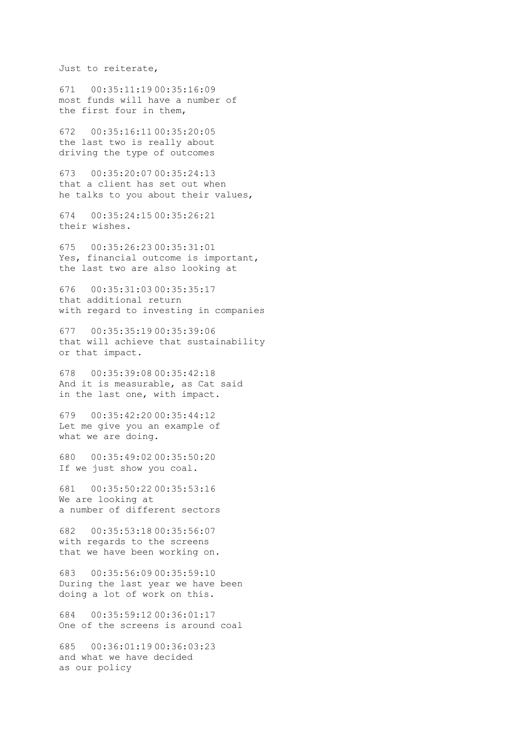Just to reiterate,

671 00:35:11:19 00:35:16:09 most funds will have a number of the first four in them,

672 00:35:16:11 00:35:20:05 the last two is really about driving the type of outcomes

673 00:35:20:07 00:35:24:13 that a client has set out when he talks to you about their values,

674 00:35:24:15 00:35:26:21 their wishes.

675 00:35:26:23 00:35:31:01 Yes, financial outcome is important, the last two are also looking at

676 00:35:31:03 00:35:35:17 that additional return with regard to investing in companies

677 00:35:35:19 00:35:39:06 that will achieve that sustainability or that impact.

678 00:35:39:08 00:35:42:18 And it is measurable, as Cat said in the last one, with impact.

679 00:35:42:20 00:35:44:12 Let me give you an example of what we are doing.

680 00:35:49:02 00:35:50:20 If we just show you coal.

681 00:35:50:22 00:35:53:16 We are looking at a number of different sectors

682 00:35:53:18 00:35:56:07 with regards to the screens that we have been working on.

683 00:35:56:09 00:35:59:10 During the last year we have been doing a lot of work on this.

684 00:35:59:12 00:36:01:17 One of the screens is around coal

685 00:36:01:19 00:36:03:23 and what we have decided as our policy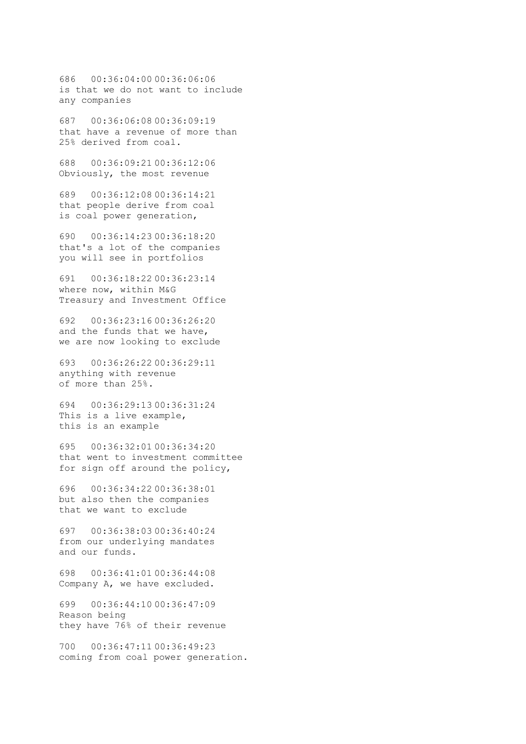686 00:36:04:00 00:36:06:06 is that we do not want to include any companies

687 00:36:06:08 00:36:09:19 that have a revenue of more than 25% derived from coal.

688 00:36:09:21 00:36:12:06 Obviously, the most revenue

689 00:36:12:08 00:36:14:21 that people derive from coal is coal power generation,

690 00:36:14:23 00:36:18:20 that's a lot of the companies you will see in portfolios

691 00:36:18:22 00:36:23:14 where now, within M&G Treasury and Investment Office

692 00:36:23:16 00:36:26:20 and the funds that we have, we are now looking to exclude

693 00:36:26:22 00:36:29:11 anything with revenue of more than 25%.

694 00:36:29:13 00:36:31:24 This is a live example, this is an example

695 00:36:32:01 00:36:34:20 that went to investment committee for sign off around the policy,

696 00:36:34:22 00:36:38:01 but also then the companies that we want to exclude

697 00:36:38:03 00:36:40:24 from our underlying mandates and our funds.

698 00:36:41:01 00:36:44:08 Company A, we have excluded.

699 00:36:44:10 00:36:47:09 Reason being they have 76% of their revenue

700 00:36:47:11 00:36:49:23 coming from coal power generation.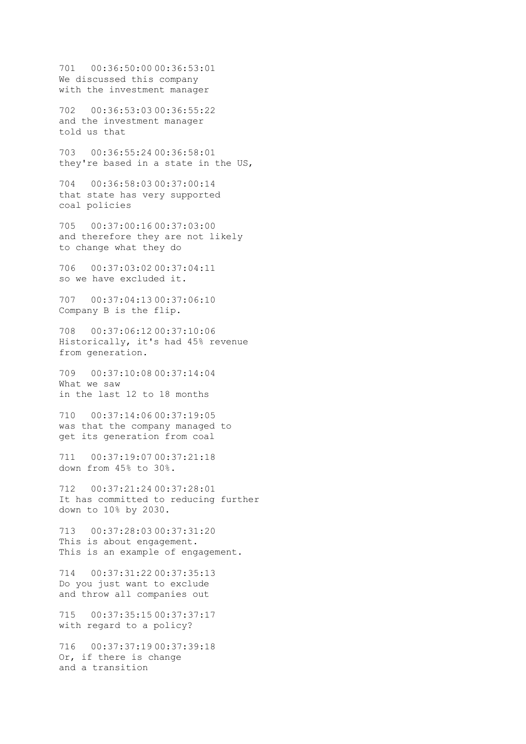701 00:36:50:00 00:36:53:01 We discussed this company with the investment manager

702 00:36:53:03 00:36:55:22 and the investment manager told us that

703 00:36:55:24 00:36:58:01 they're based in a state in the US,

704 00:36:58:03 00:37:00:14 that state has very supported coal policies

705 00:37:00:16 00:37:03:00 and therefore they are not likely to change what they do

706 00:37:03:02 00:37:04:11 so we have excluded it.

707 00:37:04:13 00:37:06:10 Company B is the flip.

708 00:37:06:12 00:37:10:06 Historically, it's had 45% revenue from generation.

709 00:37:10:08 00:37:14:04 What we saw in the last 12 to 18 months

710 00:37:14:06 00:37:19:05 was that the company managed to get its generation from coal

711 00:37:19:07 00:37:21:18 down from 45% to 30%.

712 00:37:21:24 00:37:28:01 It has committed to reducing further down to 10% by 2030.

713 00:37:28:03 00:37:31:20 This is about engagement. This is an example of engagement.

714 00:37:31:22 00:37:35:13 Do you just want to exclude and throw all companies out

715 00:37:35:15 00:37:37:17 with regard to a policy?

716 00:37:37:19 00:37:39:18 Or, if there is change and a transition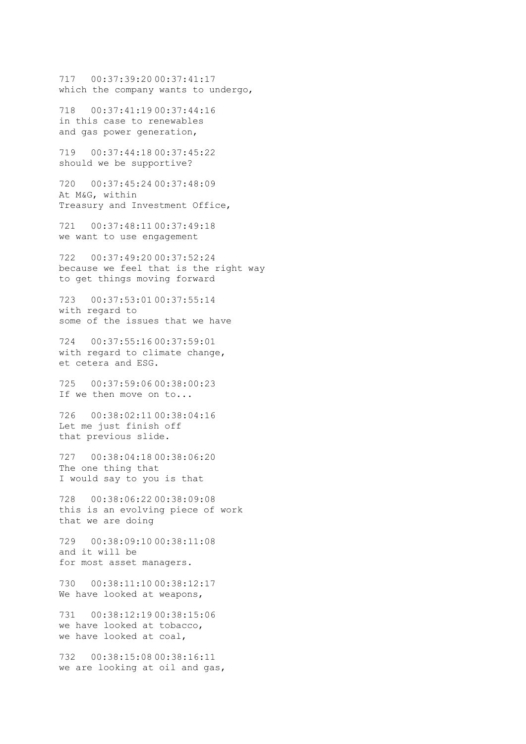717 00:37:39:20 00:37:41:17 which the company wants to undergo,

718 00:37:41:19 00:37:44:16 in this case to renewables and gas power generation,

719 00:37:44:18 00:37:45:22 should we be supportive?

720 00:37:45:24 00:37:48:09 At M&G, within Treasury and Investment Office,

721 00:37:48:11 00:37:49:18 we want to use engagement

722 00:37:49:20 00:37:52:24 because we feel that is the right way to get things moving forward

723 00:37:53:01 00:37:55:14 with regard to some of the issues that we have

724 00:37:55:16 00:37:59:01 with regard to climate change, et cetera and ESG.

725 00:37:59:06 00:38:00:23 If we then move on to...

726 00:38:02:11 00:38:04:16 Let me just finish off that previous slide.

727 00:38:04:18 00:38:06:20 The one thing that I would say to you is that

728 00:38:06:22 00:38:09:08 this is an evolving piece of work that we are doing

729 00:38:09:10 00:38:11:08 and it will be for most asset managers.

730 00:38:11:10 00:38:12:17 We have looked at weapons,

731 00:38:12:19 00:38:15:06 we have looked at tobacco, we have looked at coal,

732 00:38:15:08 00:38:16:11 we are looking at oil and gas,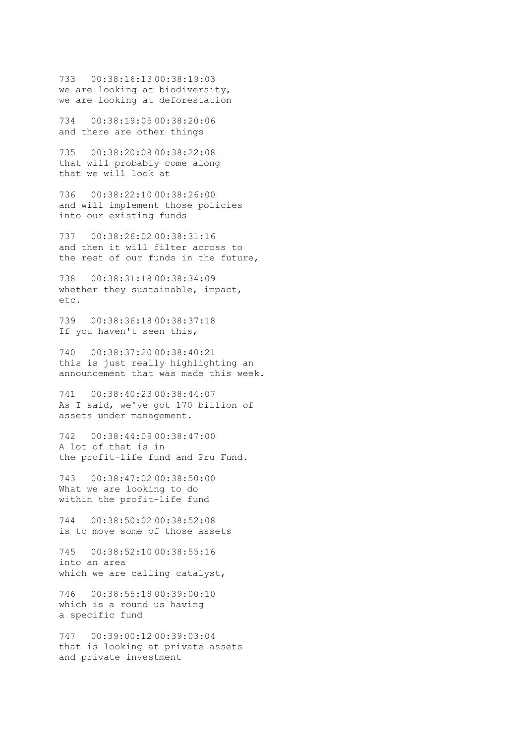733 00:38:16:13 00:38:19:03 we are looking at biodiversity, we are looking at deforestation

734 00:38:19:05 00:38:20:06 and there are other things

735 00:38:20:08 00:38:22:08 that will probably come along that we will look at

736 00:38:22:10 00:38:26:00 and will implement those policies into our existing funds

737 00:38:26:02 00:38:31:16 and then it will filter across to the rest of our funds in the future,

738 00:38:31:18 00:38:34:09 whether they sustainable, impact, etc.

739 00:38:36:18 00:38:37:18 If you haven't seen this,

740 00:38:37:20 00:38:40:21 this is just really highlighting an announcement that was made this week.

741 00:38:40:23 00:38:44:07 As I said, we've got 170 billion of assets under management.

742 00:38:44:09 00:38:47:00 A lot of that is in the profit-life fund and Pru Fund.

743 00:38:47:02 00:38:50:00 What we are looking to do within the profit-life fund

744 00:38:50:02 00:38:52:08 is to move some of those assets

745 00:38:52:10 00:38:55:16 into an area which we are calling catalyst,

746 00:38:55:18 00:39:00:10 which is a round us having a specific fund

747 00:39:00:12 00:39:03:04 that is looking at private assets and private investment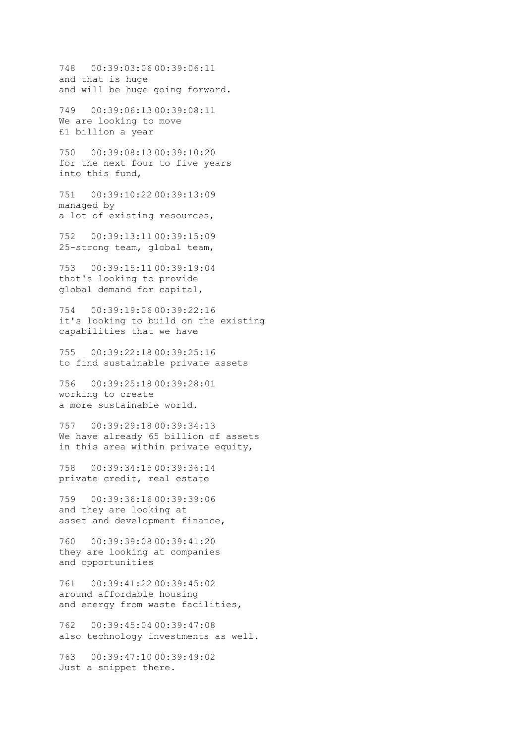748 00:39:03:06 00:39:06:11 and that is huge and will be huge going forward.

749 00:39:06:13 00:39:08:11 We are looking to move £1 billion a year

750 00:39:08:13 00:39:10:20 for the next four to five years into this fund,

751 00:39:10:22 00:39:13:09 managed by a lot of existing resources,

752 00:39:13:11 00:39:15:09 25-strong team, global team,

753 00:39:15:11 00:39:19:04 that's looking to provide global demand for capital,

754 00:39:19:06 00:39:22:16 it's looking to build on the existing capabilities that we have

755 00:39:22:18 00:39:25:16 to find sustainable private assets

756 00:39:25:18 00:39:28:01 working to create a more sustainable world.

757 00:39:29:18 00:39:34:13 We have already 65 billion of assets in this area within private equity,

758 00:39:34:15 00:39:36:14 private credit, real estate

759 00:39:36:16 00:39:39:06 and they are looking at asset and development finance,

760 00:39:39:08 00:39:41:20 they are looking at companies and opportunities

761 00:39:41:22 00:39:45:02 around affordable housing and energy from waste facilities,

762 00:39:45:04 00:39:47:08 also technology investments as well.

763 00:39:47:10 00:39:49:02 Just a snippet there.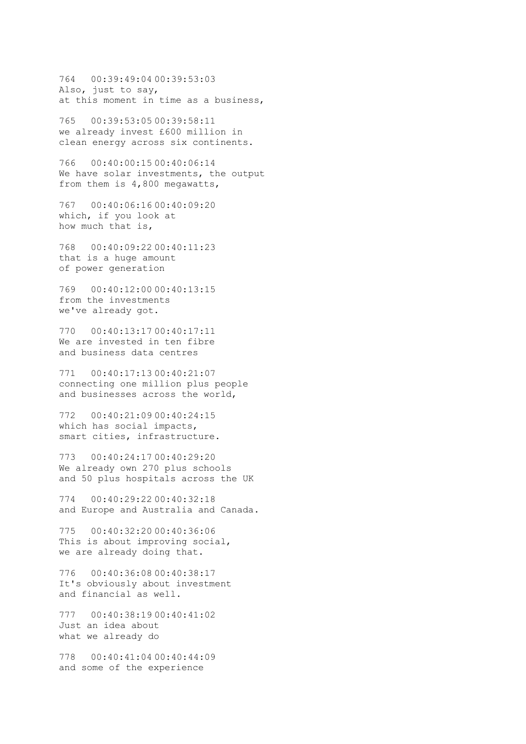764 00:39:49:04 00:39:53:03 Also, just to say, at this moment in time as a business,

765 00:39:53:05 00:39:58:11 we already invest £600 million in clean energy across six continents.

766 00:40:00:15 00:40:06:14 We have solar investments, the output from them is 4,800 megawatts,

767 00:40:06:16 00:40:09:20 which, if you look at how much that is,

768 00:40:09:22 00:40:11:23 that is a huge amount of power generation

769 00:40:12:00 00:40:13:15 from the investments we've already got.

770 00:40:13:17 00:40:17:11 We are invested in ten fibre and business data centres

771 00:40:17:13 00:40:21:07 connecting one million plus people and businesses across the world,

772 00:40:21:09 00:40:24:15 which has social impacts, smart cities, infrastructure.

773 00:40:24:17 00:40:29:20 We already own 270 plus schools and 50 plus hospitals across the UK

774 00:40:29:22 00:40:32:18 and Europe and Australia and Canada.

775 00:40:32:20 00:40:36:06 This is about improving social, we are already doing that.

776 00:40:36:08 00:40:38:17 It's obviously about investment and financial as well.

777 00:40:38:19 00:40:41:02 Just an idea about what we already do

778 00:40:41:04 00:40:44:09 and some of the experience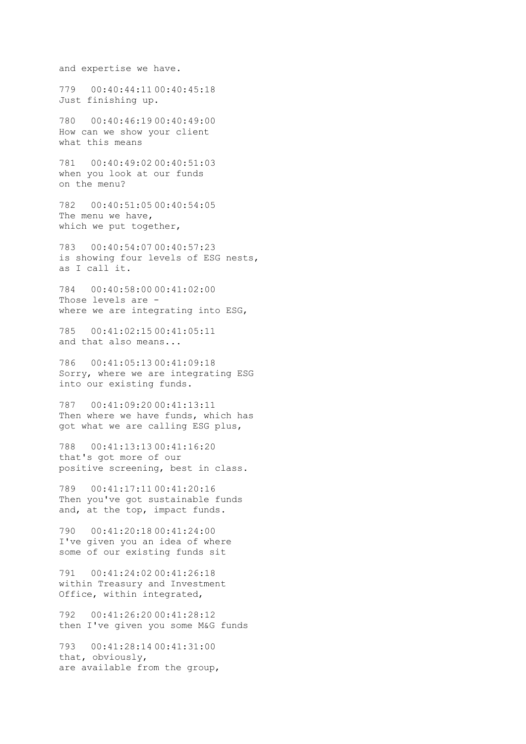and expertise we have.

779 00:40:44:11 00:40:45:18 Just finishing up.

780 00:40:46:19 00:40:49:00 How can we show your client what this means

781 00:40:49:02 00:40:51:03 when you look at our funds on the menu?

782 00:40:51:05 00:40:54:05 The menu we have, which we put together,

783 00:40:54:07 00:40:57:23 is showing four levels of ESG nests, as I call it.

784 00:40:58:00 00:41:02:00 Those levels are where we are integrating into ESG,

785 00:41:02:15 00:41:05:11 and that also means...

786 00:41:05:13 00:41:09:18 Sorry, where we are integrating ESG into our existing funds.

787 00:41:09:20 00:41:13:11 Then where we have funds, which has got what we are calling ESG plus,

788 00:41:13:13 00:41:16:20 that's got more of our positive screening, best in class.

789 00:41:17:11 00:41:20:16 Then you've got sustainable funds and, at the top, impact funds.

790 00:41:20:18 00:41:24:00 I've given you an idea of where some of our existing funds sit

791 00:41:24:02 00:41:26:18 within Treasury and Investment Office, within integrated,

792 00:41:26:20 00:41:28:12 then I've given you some M&G funds

793 00:41:28:14 00:41:31:00 that, obviously, are available from the group,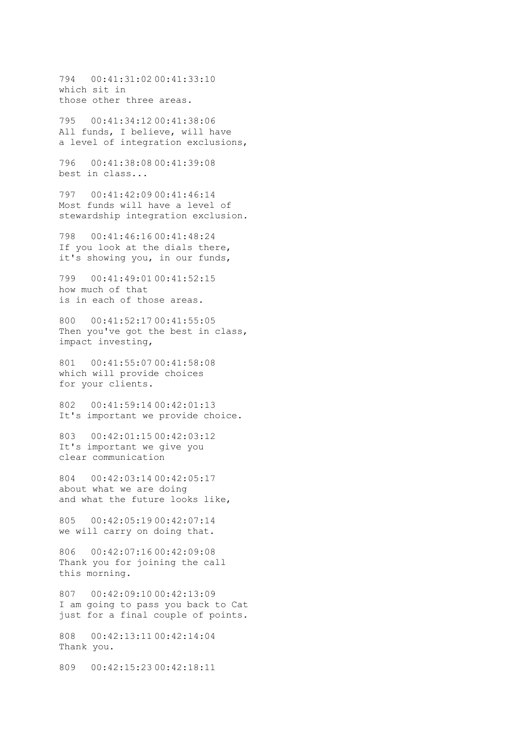794 00:41:31:02 00:41:33:10 which sit in those other three areas.

795 00:41:34:12 00:41:38:06 All funds, I believe, will have a level of integration exclusions,

796 00:41:38:08 00:41:39:08 best in class...

797 00:41:42:09 00:41:46:14 Most funds will have a level of stewardship integration exclusion.

798 00:41:46:16 00:41:48:24 If you look at the dials there, it's showing you, in our funds,

799 00:41:49:01 00:41:52:15 how much of that is in each of those areas.

800 00:41:52:17 00:41:55:05 Then you've got the best in class, impact investing,

801 00:41:55:07 00:41:58:08 which will provide choices for your clients.

802 00:41:59:14 00:42:01:13 It's important we provide choice.

803 00:42:01:15 00:42:03:12 It's important we give you clear communication

804 00:42:03:14 00:42:05:17 about what we are doing and what the future looks like,

805 00:42:05:19 00:42:07:14 we will carry on doing that.

806 00:42:07:16 00:42:09:08 Thank you for joining the call this morning.

807 00:42:09:10 00:42:13:09 I am going to pass you back to Cat just for a final couple of points.

808 00:42:13:11 00:42:14:04 Thank you.

809 00:42:15:23 00:42:18:11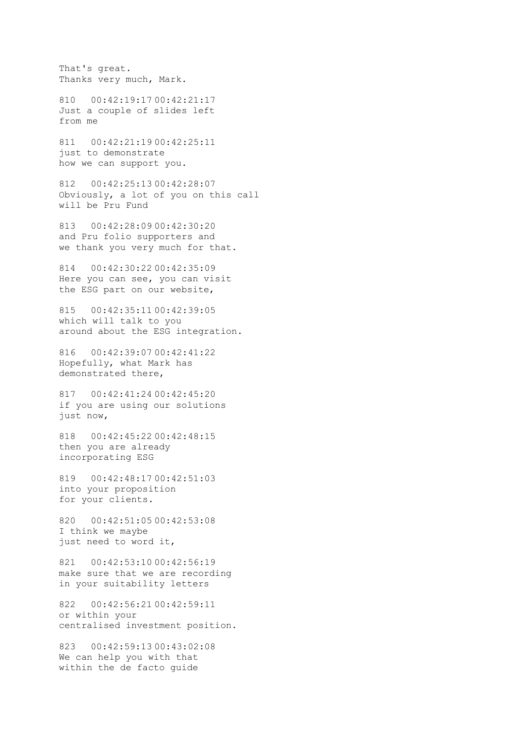That's great. Thanks very much, Mark.

810 00:42:19:17 00:42:21:17 Just a couple of slides left from me

811 00:42:21:19 00:42:25:11 just to demonstrate how we can support you.

812 00:42:25:13 00:42:28:07 Obviously, a lot of you on this call will be Pru Fund

813 00:42:28:09 00:42:30:20 and Pru folio supporters and we thank you very much for that.

814 00:42:30:22 00:42:35:09 Here you can see, you can visit the ESG part on our website,

815 00:42:35:11 00:42:39:05 which will talk to you around about the ESG integration.

816 00:42:39:07 00:42:41:22 Hopefully, what Mark has demonstrated there,

817 00:42:41:24 00:42:45:20 if you are using our solutions just now,

818 00:42:45:22 00:42:48:15 then you are already incorporating ESG

819 00:42:48:17 00:42:51:03 into your proposition for your clients.

820 00:42:51:05 00:42:53:08 I think we maybe just need to word it,

821 00:42:53:10 00:42:56:19 make sure that we are recording in your suitability letters

822 00:42:56:21 00:42:59:11 or within your centralised investment position.

823 00:42:59:13 00:43:02:08 We can help you with that within the de facto guide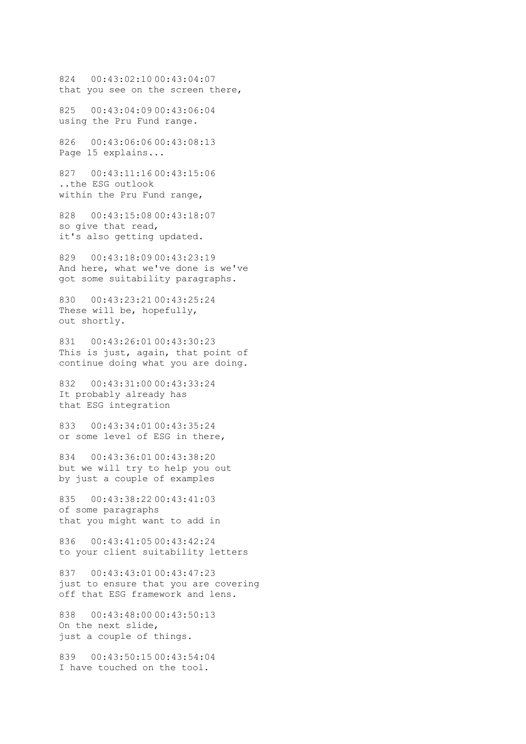824 00:43:02:10 00:43:04:07 that you see on the screen there,

825 00:43:04:09 00:43:06:04 using the Pru Fund range.

826 00:43:06:06 00:43:08:13 Page 15 explains...

827 00:43:11:16 00:43:15:06 ..the ESG outlook within the Pru Fund range,

828 00:43:15:08 00:43:18:07 so give that read, it's also getting updated.

829 00:43:18:09 00:43:23:19 And here, what we've done is we've got some suitability paragraphs.

830 00:43:23:21 00:43:25:24 These will be, hopefully, out shortly.

831 00:43:26:01 00:43:30:23 This is just, again, that point of continue doing what you are doing.

832 00:43:31:00 00:43:33:24 It probably already has that ESG integration

833 00:43:34:01 00:43:35:24 or some level of ESG in there,

834 00:43:36:01 00:43:38:20 but we will try to help you out by just a couple of examples

835 00:43:38:22 00:43:41:03 of some paragraphs that you might want to add in

836 00:43:41:05 00:43:42:24 to your client suitability letters

837 00:43:43:01 00:43:47:23 just to ensure that you are covering off that ESG framework and lens.

838 00:43:48:00 00:43:50:13 On the next slide, just a couple of things.

839 00:43:50:15 00:43:54:04 I have touched on the tool.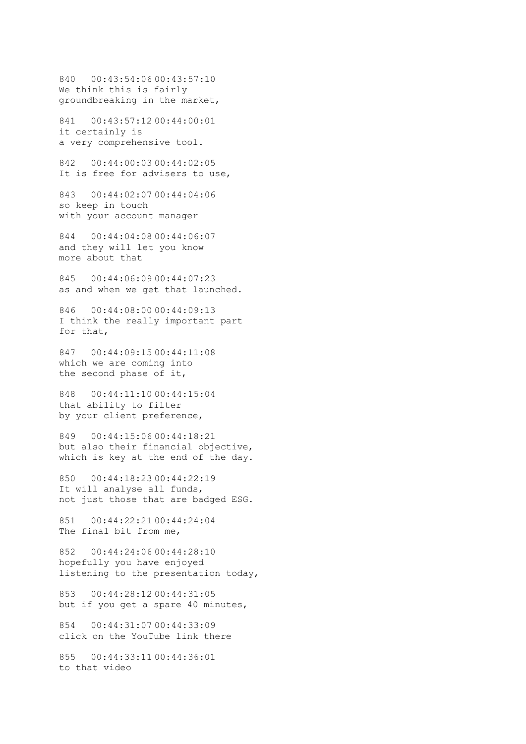840 00:43:54:06 00:43:57:10 We think this is fairly groundbreaking in the market,

841 00:43:57:12 00:44:00:01 it certainly is a very comprehensive tool.

842 00:44:00:03 00:44:02:05 It is free for advisers to use,

843 00:44:02:07 00:44:04:06 so keep in touch with your account manager

844 00:44:04:08 00:44:06:07 and they will let you know more about that

845 00:44:06:09 00:44:07:23 as and when we get that launched.

846 00:44:08:00 00:44:09:13 I think the really important part for that,

847 00:44:09:15 00:44:11:08 which we are coming into the second phase of it,

848 00:44:11:10 00:44:15:04 that ability to filter by your client preference,

849 00:44:15:06 00:44:18:21 but also their financial objective, which is key at the end of the day.

850 00:44:18:23 00:44:22:19 It will analyse all funds, not just those that are badged ESG.

851 00:44:22:21 00:44:24:04 The final bit from me,

852 00:44:24:06 00:44:28:10 hopefully you have enjoyed listening to the presentation today,

853 00:44:28:12 00:44:31:05 but if you get a spare 40 minutes,

854 00:44:31:07 00:44:33:09 click on the YouTube link there

855 00:44:33:11 00:44:36:01 to that video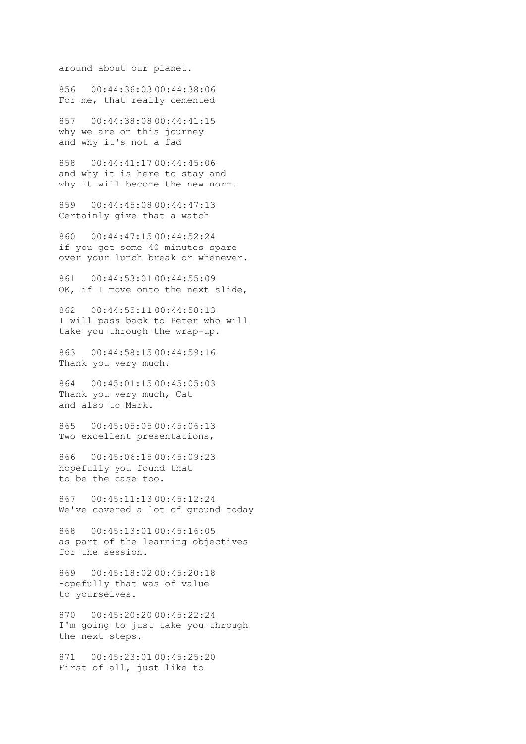around about our planet.

856 00:44:36:03 00:44:38:06 For me, that really cemented

857 00:44:38:08 00:44:41:15 why we are on this journey and why it's not a fad

858 00:44:41:17 00:44:45:06 and why it is here to stay and why it will become the new norm.

859 00:44:45:08 00:44:47:13 Certainly give that a watch

860 00:44:47:15 00:44:52:24 if you get some 40 minutes spare over your lunch break or whenever.

861 00:44:53:01 00:44:55:09 OK, if I move onto the next slide,

862 00:44:55:11 00:44:58:13 I will pass back to Peter who will take you through the wrap-up.

863 00:44:58:15 00:44:59:16 Thank you very much.

864 00:45:01:15 00:45:05:03 Thank you very much, Cat and also to Mark.

865 00:45:05:05 00:45:06:13 Two excellent presentations,

866 00:45:06:15 00:45:09:23 hopefully you found that to be the case too.

867 00:45:11:13 00:45:12:24 We've covered a lot of ground today

868 00:45:13:01 00:45:16:05 as part of the learning objectives for the session.

869 00:45:18:02 00:45:20:18 Hopefully that was of value to yourselves.

870 00:45:20:20 00:45:22:24 I'm going to just take you through the next steps.

871 00:45:23:01 00:45:25:20 First of all, just like to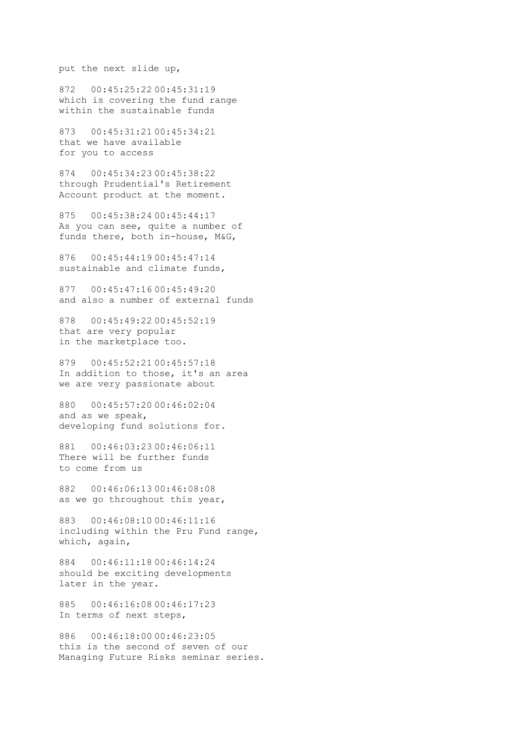put the next slide up,

872 00:45:25:22 00:45:31:19 which is covering the fund range within the sustainable funds

873 00:45:31:21 00:45:34:21 that we have available for you to access

874 00:45:34:23 00:45:38:22 through Prudential's Retirement Account product at the moment.

875 00:45:38:24 00:45:44:17 As you can see, quite a number of funds there, both in-house, M&G,

876 00:45:44:19 00:45:47:14 sustainable and climate funds,

877 00:45:47:16 00:45:49:20 and also a number of external funds

878 00:45:49:22 00:45:52:19 that are very popular in the marketplace too.

879 00:45:52:21 00:45:57:18 In addition to those, it's an area we are very passionate about

880 00:45:57:20 00:46:02:04 and as we speak, developing fund solutions for.

881 00:46:03:23 00:46:06:11 There will be further funds to come from us

882 00:46:06:13 00:46:08:08 as we go throughout this year,

883 00:46:08:10 00:46:11:16 including within the Pru Fund range, which, again,

884 00:46:11:18 00:46:14:24 should be exciting developments later in the year.

885 00:46:16:08 00:46:17:23 In terms of next steps,

886 00:46:18:00 00:46:23:05 this is the second of seven of our Managing Future Risks seminar series.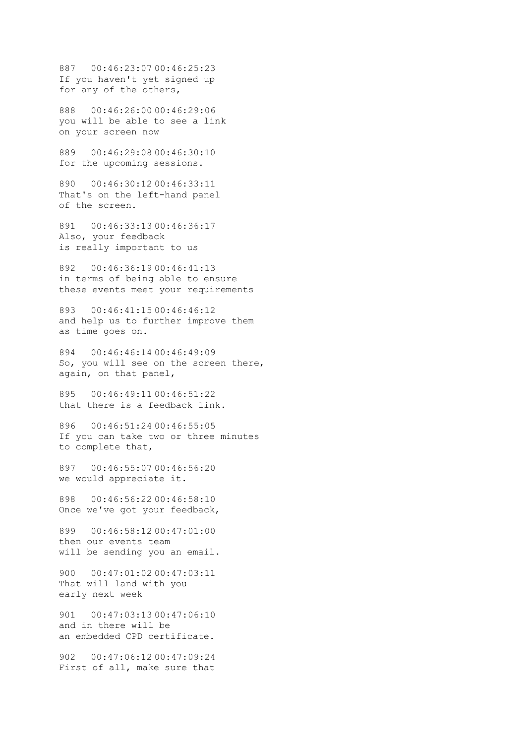887 00:46:23:07 00:46:25:23 If you haven't yet signed up for any of the others,

888 00:46:26:00 00:46:29:06 you will be able to see a link on your screen now

889 00:46:29:08 00:46:30:10 for the upcoming sessions.

890 00:46:30:12 00:46:33:11 That's on the left-hand panel of the screen.

891 00:46:33:13 00:46:36:17 Also, your feedback is really important to us

892 00:46:36:19 00:46:41:13 in terms of being able to ensure these events meet your requirements

893 00:46:41:15 00:46:46:12 and help us to further improve them as time goes on.

894 00:46:46:14 00:46:49:09 So, you will see on the screen there, again, on that panel,

895 00:46:49:11 00:46:51:22 that there is a feedback link.

896 00:46:51:24 00:46:55:05 If you can take two or three minutes to complete that,

897 00:46:55:07 00:46:56:20 we would appreciate it.

898 00:46:56:22 00:46:58:10 Once we've got your feedback,

899 00:46:58:12 00:47:01:00 then our events team will be sending you an email.

900 00:47:01:02 00:47:03:11 That will land with you early next week

901 00:47:03:13 00:47:06:10 and in there will be an embedded CPD certificate.

902 00:47:06:12 00:47:09:24 First of all, make sure that